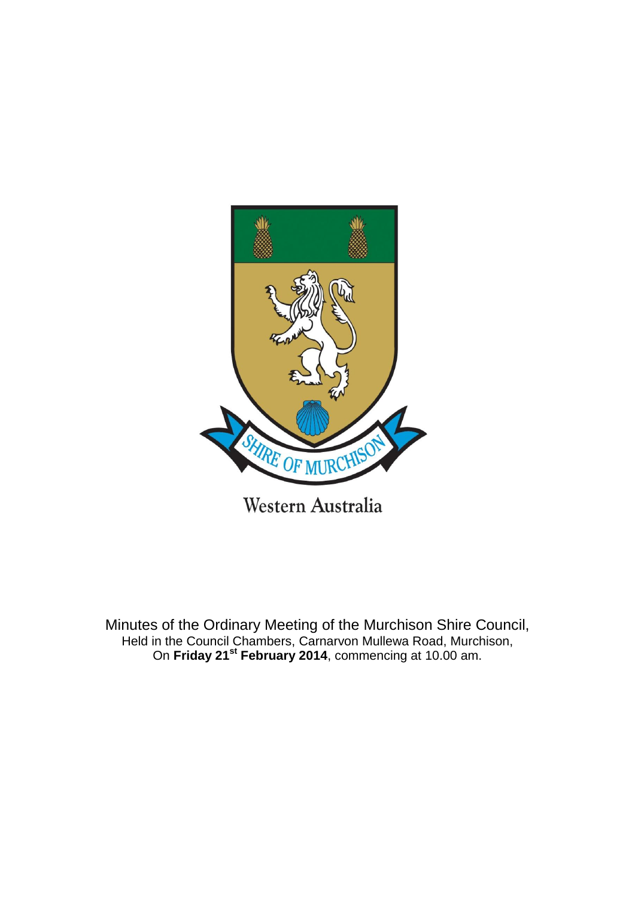

Minutes of the Ordinary Meeting of the Murchison Shire Council, Held in the Council Chambers, Carnarvon Mullewa Road, Murchison, On **Friday 21st February 2014**, commencing at 10.00 am.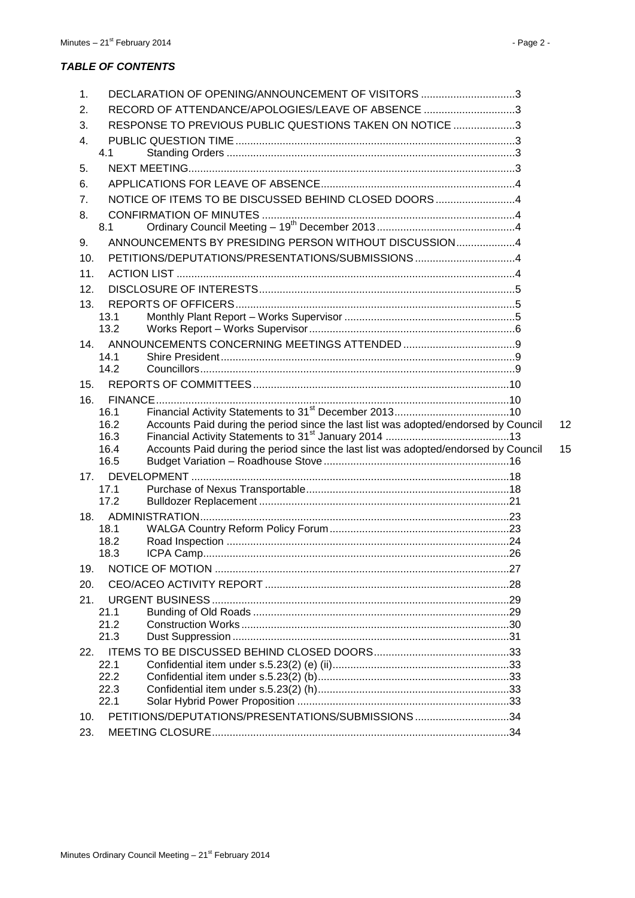# *TABLE OF CONTENTS*

| 4.1        |                                                                                                                                         |    |                                                                                                                                                                                                                                                                                                                                                                                                                                                                                                                                                                                 |
|------------|-----------------------------------------------------------------------------------------------------------------------------------------|----|---------------------------------------------------------------------------------------------------------------------------------------------------------------------------------------------------------------------------------------------------------------------------------------------------------------------------------------------------------------------------------------------------------------------------------------------------------------------------------------------------------------------------------------------------------------------------------|
|            |                                                                                                                                         |    |                                                                                                                                                                                                                                                                                                                                                                                                                                                                                                                                                                                 |
|            |                                                                                                                                         |    |                                                                                                                                                                                                                                                                                                                                                                                                                                                                                                                                                                                 |
|            |                                                                                                                                         |    |                                                                                                                                                                                                                                                                                                                                                                                                                                                                                                                                                                                 |
|            |                                                                                                                                         |    |                                                                                                                                                                                                                                                                                                                                                                                                                                                                                                                                                                                 |
| 8.1        |                                                                                                                                         |    |                                                                                                                                                                                                                                                                                                                                                                                                                                                                                                                                                                                 |
|            |                                                                                                                                         |    |                                                                                                                                                                                                                                                                                                                                                                                                                                                                                                                                                                                 |
|            |                                                                                                                                         |    |                                                                                                                                                                                                                                                                                                                                                                                                                                                                                                                                                                                 |
|            |                                                                                                                                         |    |                                                                                                                                                                                                                                                                                                                                                                                                                                                                                                                                                                                 |
|            |                                                                                                                                         |    |                                                                                                                                                                                                                                                                                                                                                                                                                                                                                                                                                                                 |
|            |                                                                                                                                         |    |                                                                                                                                                                                                                                                                                                                                                                                                                                                                                                                                                                                 |
| 13.1       |                                                                                                                                         |    |                                                                                                                                                                                                                                                                                                                                                                                                                                                                                                                                                                                 |
| 13.2       |                                                                                                                                         |    |                                                                                                                                                                                                                                                                                                                                                                                                                                                                                                                                                                                 |
|            |                                                                                                                                         |    |                                                                                                                                                                                                                                                                                                                                                                                                                                                                                                                                                                                 |
|            |                                                                                                                                         |    |                                                                                                                                                                                                                                                                                                                                                                                                                                                                                                                                                                                 |
|            |                                                                                                                                         |    |                                                                                                                                                                                                                                                                                                                                                                                                                                                                                                                                                                                 |
|            |                                                                                                                                         |    |                                                                                                                                                                                                                                                                                                                                                                                                                                                                                                                                                                                 |
|            |                                                                                                                                         |    |                                                                                                                                                                                                                                                                                                                                                                                                                                                                                                                                                                                 |
|            |                                                                                                                                         |    |                                                                                                                                                                                                                                                                                                                                                                                                                                                                                                                                                                                 |
|            |                                                                                                                                         |    |                                                                                                                                                                                                                                                                                                                                                                                                                                                                                                                                                                                 |
| 16.4       |                                                                                                                                         | 15 |                                                                                                                                                                                                                                                                                                                                                                                                                                                                                                                                                                                 |
| 16.5       |                                                                                                                                         |    |                                                                                                                                                                                                                                                                                                                                                                                                                                                                                                                                                                                 |
|            |                                                                                                                                         |    |                                                                                                                                                                                                                                                                                                                                                                                                                                                                                                                                                                                 |
| 17.1       |                                                                                                                                         |    |                                                                                                                                                                                                                                                                                                                                                                                                                                                                                                                                                                                 |
|            |                                                                                                                                         |    |                                                                                                                                                                                                                                                                                                                                                                                                                                                                                                                                                                                 |
|            |                                                                                                                                         |    |                                                                                                                                                                                                                                                                                                                                                                                                                                                                                                                                                                                 |
|            |                                                                                                                                         |    |                                                                                                                                                                                                                                                                                                                                                                                                                                                                                                                                                                                 |
|            |                                                                                                                                         |    |                                                                                                                                                                                                                                                                                                                                                                                                                                                                                                                                                                                 |
|            |                                                                                                                                         |    |                                                                                                                                                                                                                                                                                                                                                                                                                                                                                                                                                                                 |
|            |                                                                                                                                         |    |                                                                                                                                                                                                                                                                                                                                                                                                                                                                                                                                                                                 |
|            |                                                                                                                                         |    |                                                                                                                                                                                                                                                                                                                                                                                                                                                                                                                                                                                 |
| 21.1       |                                                                                                                                         |    |                                                                                                                                                                                                                                                                                                                                                                                                                                                                                                                                                                                 |
| 21.2       |                                                                                                                                         |    |                                                                                                                                                                                                                                                                                                                                                                                                                                                                                                                                                                                 |
| 21.3       |                                                                                                                                         |    |                                                                                                                                                                                                                                                                                                                                                                                                                                                                                                                                                                                 |
|            |                                                                                                                                         |    |                                                                                                                                                                                                                                                                                                                                                                                                                                                                                                                                                                                 |
|            |                                                                                                                                         |    |                                                                                                                                                                                                                                                                                                                                                                                                                                                                                                                                                                                 |
|            |                                                                                                                                         |    |                                                                                                                                                                                                                                                                                                                                                                                                                                                                                                                                                                                 |
|            |                                                                                                                                         |    |                                                                                                                                                                                                                                                                                                                                                                                                                                                                                                                                                                                 |
|            |                                                                                                                                         |    |                                                                                                                                                                                                                                                                                                                                                                                                                                                                                                                                                                                 |
|            |                                                                                                                                         |    |                                                                                                                                                                                                                                                                                                                                                                                                                                                                                                                                                                                 |
|            |                                                                                                                                         |    |                                                                                                                                                                                                                                                                                                                                                                                                                                                                                                                                                                                 |
| 15.<br>16. | 14.<br>14.1<br>14.2<br>16.1<br>16.2<br>16.3<br>17.<br>17.2<br>18.<br>18.1<br>18.2<br>18.3<br>21.<br>22.<br>22.1<br>22.2<br>22.3<br>22.1 |    | DECLARATION OF OPENING/ANNOUNCEMENT OF VISITORS 3<br>RECORD OF ATTENDANCE/APOLOGIES/LEAVE OF ABSENCE 3<br>RESPONSE TO PREVIOUS PUBLIC QUESTIONS TAKEN ON NOTICE 3<br>NOTICE OF ITEMS TO BE DISCUSSED BEHIND CLOSED DOORS4<br>ANNOUNCEMENTS BY PRESIDING PERSON WITHOUT DISCUSSION4<br>PETITIONS/DEPUTATIONS/PRESENTATIONS/SUBMISSIONS4<br>Accounts Paid during the period since the last list was adopted/endorsed by Council<br>12<br>Accounts Paid during the period since the last list was adopted/endorsed by Council<br>PETITIONS/DEPUTATIONS/PRESENTATIONS/SUBMISSIONS34 |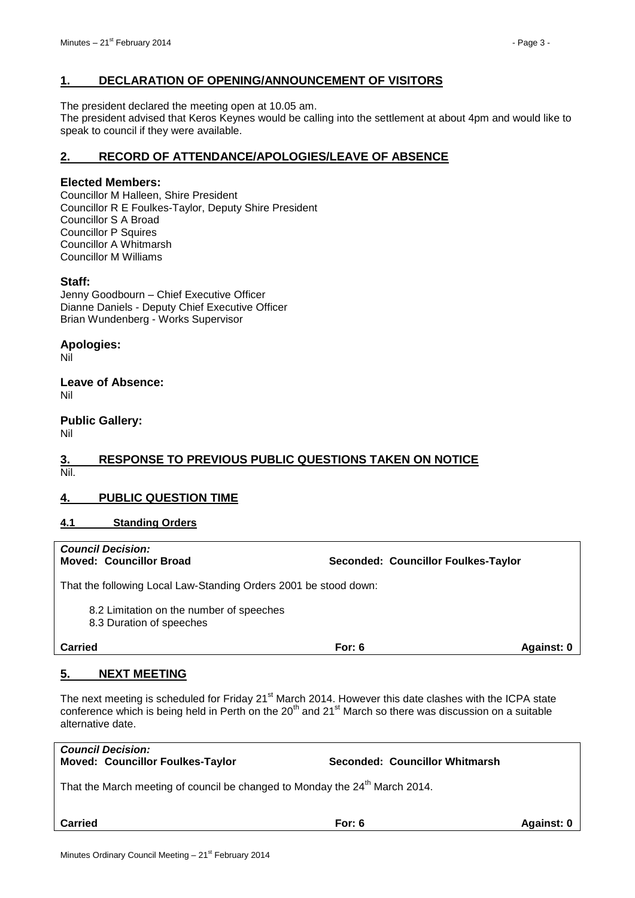#### <span id="page-2-0"></span>**1. DECLARATION OF OPENING/ANNOUNCEMENT OF VISITORS**

The president declared the meeting open at 10.05 am.

The president advised that Keros Keynes would be calling into the settlement at about 4pm and would like to speak to council if they were available.

# <span id="page-2-1"></span>**2. RECORD OF ATTENDANCE/APOLOGIES/LEAVE OF ABSENCE**

#### **Elected Members:**

Councillor M Halleen, Shire President Councillor R E Foulkes-Taylor, Deputy Shire President Councillor S A Broad Councillor P Squires Councillor A Whitmarsh Councillor M Williams

#### **Staff:**

Jenny Goodbourn – Chief Executive Officer Dianne Daniels - Deputy Chief Executive Officer Brian Wundenberg - Works Supervisor

#### **Apologies:**

Nil

# **Leave of Absence:**

Nil

## **Public Gallery:**

Nil

#### <span id="page-2-2"></span>**3. RESPONSE TO PREVIOUS PUBLIC QUESTIONS TAKEN ON NOTICE** Nil.

# <span id="page-2-3"></span>**4. PUBLIC QUESTION TIME**

#### <span id="page-2-4"></span>**4.1 Standing Orders**

*Council Decision:*

**Moved: Councillor Broad Seconded: Councillor Foulkes-Taylor**

That the following Local Law-Standing Orders 2001 be stood down:

8.2 Limitation on the number of speeches

8.3 Duration of speeches

**Carried For: 6 Against: 0**

# <span id="page-2-5"></span>**5. NEXT MEETING**

The next meeting is scheduled for Friday  $21^{st}$  March 2014. However this date clashes with the ICPA state conference which is being held in Perth on the 20<sup>th</sup> and 21<sup>st</sup> March so there was discussion on a suitable alternative date.

| <b>Council Decision:</b><br><b>Moved: Councillor Foulkes-Taylor</b>                     | Seconded: Councillor Whitmarsh |            |
|-----------------------------------------------------------------------------------------|--------------------------------|------------|
| That the March meeting of council be changed to Monday the 24 <sup>th</sup> March 2014. |                                |            |
| <b>Carried</b>                                                                          | For: $6$                       | Against: 0 |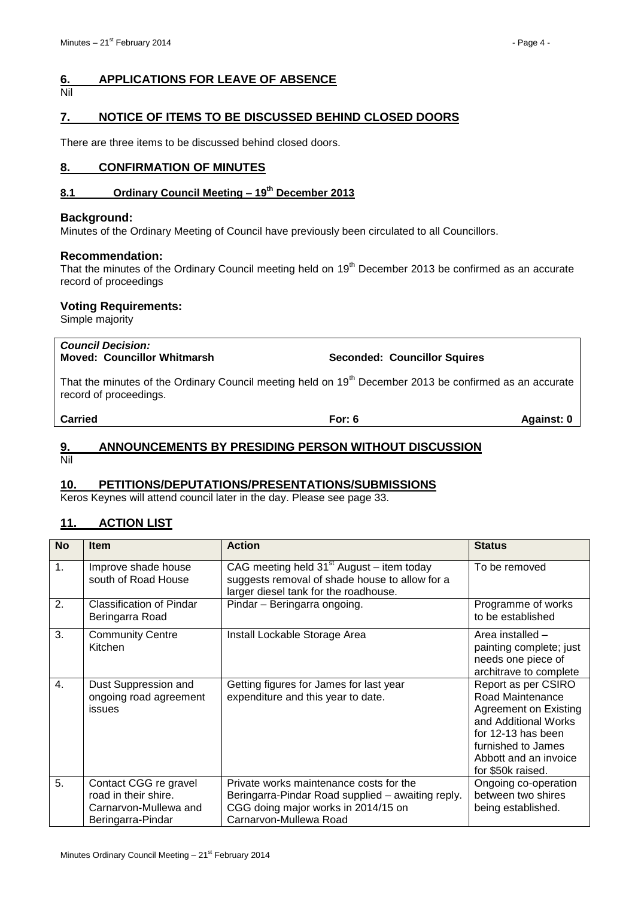# <span id="page-3-0"></span>**6. APPLICATIONS FOR LEAVE OF ABSENCE**

#### Nil

# <span id="page-3-1"></span>**7. NOTICE OF ITEMS TO BE DISCUSSED BEHIND CLOSED DOORS**

There are three items to be discussed behind closed doors.

## <span id="page-3-2"></span>**8. CONFIRMATION OF MINUTES**

## <span id="page-3-3"></span>**8.1 Ordinary Council Meeting – 19th December 2013**

#### **Background:**

Minutes of the Ordinary Meeting of Council have previously been circulated to all Councillors.

#### **Recommendation:**

That the minutes of the Ordinary Council meeting held on 19<sup>th</sup> December 2013 be confirmed as an accurate record of proceedings

#### **Voting Requirements:**

Simple majority

# *Council Decision:*

**Moved: Councillor Whitmarsh Seconded: Councillor Squires**

That the minutes of the Ordinary Council meeting held on 19<sup>th</sup> December 2013 be confirmed as an accurate record of proceedings.

**Carried For: 6 Against: 0**

### <span id="page-3-4"></span>**9. ANNOUNCEMENTS BY PRESIDING PERSON WITHOUT DISCUSSION** Nil

#### <span id="page-3-5"></span>**10. PETITIONS/DEPUTATIONS/PRESENTATIONS/SUBMISSIONS**

Keros Keynes will attend council later in the day. Please see page 33.

# <span id="page-3-6"></span>**11. ACTION LIST**

| <b>No</b>        | <b>Item</b>                                                                                 | <b>Action</b>                                                                                                                                                 | <b>Status</b>                                                                                                                                                                      |
|------------------|---------------------------------------------------------------------------------------------|---------------------------------------------------------------------------------------------------------------------------------------------------------------|------------------------------------------------------------------------------------------------------------------------------------------------------------------------------------|
| 1.               | Improve shade house<br>south of Road House                                                  | CAG meeting held $31st$ August – item today<br>suggests removal of shade house to allow for a<br>larger diesel tank for the roadhouse.                        | To be removed                                                                                                                                                                      |
| 2.               | <b>Classification of Pindar</b><br>Beringarra Road                                          | Pindar - Beringarra ongoing.                                                                                                                                  | Programme of works<br>to be established                                                                                                                                            |
| $\overline{3}$ . | <b>Community Centre</b><br>Kitchen                                                          | Install Lockable Storage Area                                                                                                                                 | Area installed -<br>painting complete; just<br>needs one piece of<br>architrave to complete                                                                                        |
| $\overline{4}$ . | Dust Suppression and<br>ongoing road agreement<br><b>issues</b>                             | Getting figures for James for last year<br>expenditure and this year to date.                                                                                 | Report as per CSIRO<br>Road Maintenance<br>Agreement on Existing<br>and Additional Works<br>for 12-13 has been<br>furnished to James<br>Abbott and an invoice<br>for \$50k raised. |
| 5.               | Contact CGG re gravel<br>road in their shire.<br>Carnaryon-Mullewa and<br>Beringarra-Pindar | Private works maintenance costs for the<br>Beringarra-Pindar Road supplied – awaiting reply.<br>CGG doing major works in 2014/15 on<br>Carnarvon-Mullewa Road | Ongoing co-operation<br>between two shires<br>being established.                                                                                                                   |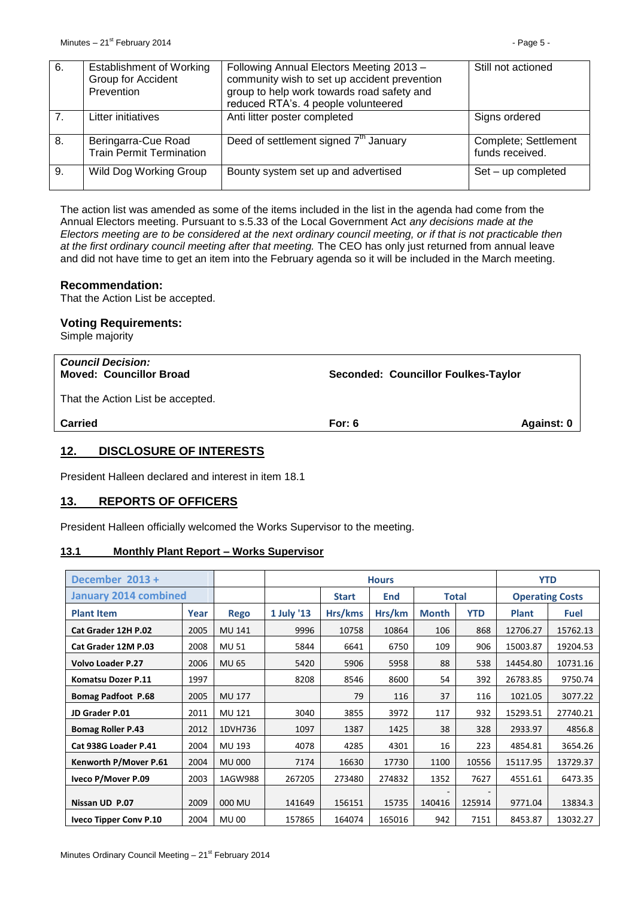| 6. | <b>Establishment of Working</b><br>Group for Accident<br>Prevention | Following Annual Electors Meeting 2013 -<br>community wish to set up accident prevention<br>group to help work towards road safety and<br>reduced RTA's. 4 people volunteered | Still not actioned                      |
|----|---------------------------------------------------------------------|-------------------------------------------------------------------------------------------------------------------------------------------------------------------------------|-----------------------------------------|
| 7. | Litter initiatives                                                  | Anti litter poster completed                                                                                                                                                  | Signs ordered                           |
| 8. | Beringarra-Cue Road<br><b>Train Permit Termination</b>              | Deed of settlement signed 7 <sup>th</sup> January                                                                                                                             | Complete; Settlement<br>funds received. |
| 9. | Wild Dog Working Group                                              | Bounty system set up and advertised                                                                                                                                           | Set - up completed                      |

The action list was amended as some of the items included in the list in the agenda had come from the Annual Electors meeting. Pursuant to s.5.33 of the Local Government Act *any decisions made at the Electors meeting are to be considered at the next ordinary council meeting, or if that is not practicable then at the first ordinary council meeting after that meeting.* The CEO has only just returned from annual leave and did not have time to get an item into the February agenda so it will be included in the March meeting.

#### **Recommendation:**

That the Action List be accepted.

# **Voting Requirements:**

Simple majority

| <b>Council Decision:</b><br><b>Moved: Councillor Broad</b> | Seconded: Councillor Foulkes-Taylor |                   |
|------------------------------------------------------------|-------------------------------------|-------------------|
| That the Action List be accepted.                          |                                     |                   |
| <b>Carried</b>                                             | For: $6$                            | <b>Against: 0</b> |
| 12<br>DISCLOSURE OF INTERFSTS                              |                                     |                   |

#### <span id="page-4-0"></span>**12. DISCLOSURE OF INTERESTS**

President Halleen declared and interest in item 18.1

#### <span id="page-4-1"></span>**13. REPORTS OF OFFICERS**

President Halleen officially welcomed the Works Supervisor to the meeting.

#### <span id="page-4-2"></span>**13.1 Monthly Plant Report – Works Supervisor**

| December 2013 +               |      |               | <b>Hours</b> |              |        |              |              | <b>YTD</b>             |             |
|-------------------------------|------|---------------|--------------|--------------|--------|--------------|--------------|------------------------|-------------|
| <b>January 2014 combined</b>  |      |               |              | <b>Start</b> | End    |              | <b>Total</b> | <b>Operating Costs</b> |             |
| <b>Plant Item</b>             | Year | <b>Rego</b>   | 1 July '13   | Hrs/kms      | Hrs/km | <b>Month</b> | <b>YTD</b>   | <b>Plant</b>           | <b>Fuel</b> |
| Cat Grader 12H P.02           | 2005 | <b>MU 141</b> | 9996         | 10758        | 10864  | 106          | 868          | 12706.27               | 15762.13    |
| Cat Grader 12M P.03           | 2008 | <b>MU 51</b>  | 5844         | 6641         | 6750   | 109          | 906          | 15003.87               | 19204.53    |
| <b>Volvo Loader P.27</b>      | 2006 | <b>MU 65</b>  | 5420         | 5906         | 5958   | 88           | 538          | 14454.80               | 10731.16    |
| Komatsu Dozer P.11            | 1997 |               | 8208         | 8546         | 8600   | 54           | 392          | 26783.85               | 9750.74     |
| <b>Bomag Padfoot P.68</b>     | 2005 | <b>MU 177</b> |              | 79           | 116    | 37           | 116          | 1021.05                | 3077.22     |
| JD Grader P.01                | 2011 | MU 121        | 3040         | 3855         | 3972   | 117          | 932          | 15293.51               | 27740.21    |
| <b>Bomag Roller P.43</b>      | 2012 | 1DVH736       | 1097         | 1387         | 1425   | 38           | 328          | 2933.97                | 4856.8      |
| Cat 938G Loader P.41          | 2004 | <b>MU 193</b> | 4078         | 4285         | 4301   | 16           | 223          | 4854.81                | 3654.26     |
| Kenworth P/Mover P.61         | 2004 | <b>MU 000</b> | 7174         | 16630        | 17730  | 1100         | 10556        | 15117.95               | 13729.37    |
| Iveco P/Mover P.09            | 2003 | 1AGW988       | 267205       | 273480       | 274832 | 1352         | 7627         | 4551.61                | 6473.35     |
| Nissan UD P.07                | 2009 | 000 MU        | 141649       | 156151       | 15735  | 140416       | 125914       | 9771.04                | 13834.3     |
| <b>Iveco Tipper Conv P.10</b> | 2004 | <b>MU 00</b>  | 157865       | 164074       | 165016 | 942          | 7151         | 8453.87                | 13032.27    |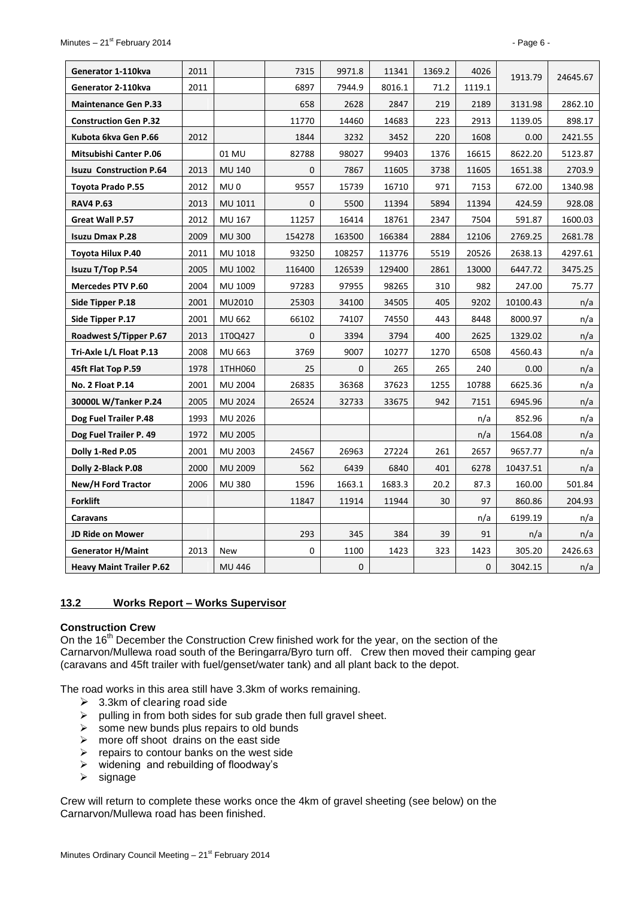| Generator 1-110kva              | 2011 |                 | 7315         | 9971.8       | 11341  | 1369.2 | 4026         | 1913.79  | 24645.67 |
|---------------------------------|------|-----------------|--------------|--------------|--------|--------|--------------|----------|----------|
| Generator 2-110kva              | 2011 |                 | 6897         | 7944.9       | 8016.1 | 71.2   | 1119.1       |          |          |
| <b>Maintenance Gen P.33</b>     |      |                 | 658          | 2628         | 2847   | 219    | 2189         | 3131.98  | 2862.10  |
| <b>Construction Gen P.32</b>    |      |                 | 11770        | 14460        | 14683  | 223    | 2913         | 1139.05  | 898.17   |
| Kubota 6kva Gen P.66            | 2012 |                 | 1844         | 3232         | 3452   | 220    | 1608         | 0.00     | 2421.55  |
| Mitsubishi Canter P.06          |      | 01 MU           | 82788        | 98027        | 99403  | 1376   | 16615        | 8622.20  | 5123.87  |
| <b>Isuzu Construction P.64</b>  | 2013 | <b>MU 140</b>   | $\mathbf{0}$ | 7867         | 11605  | 3738   | 11605        | 1651.38  | 2703.9   |
| Toyota Prado P.55               | 2012 | MU <sub>0</sub> | 9557         | 15739        | 16710  | 971    | 7153         | 672.00   | 1340.98  |
| <b>RAV4 P.63</b>                | 2013 | MU 1011         | $\Omega$     | 5500         | 11394  | 5894   | 11394        | 424.59   | 928.08   |
| Great Wall P.57                 | 2012 | MU 167          | 11257        | 16414        | 18761  | 2347   | 7504         | 591.87   | 1600.03  |
| <b>Isuzu Dmax P.28</b>          | 2009 | <b>MU 300</b>   | 154278       | 163500       | 166384 | 2884   | 12106        | 2769.25  | 2681.78  |
| <b>Toyota Hilux P.40</b>        | 2011 | MU 1018         | 93250        | 108257       | 113776 | 5519   | 20526        | 2638.13  | 4297.61  |
| <b>Isuzu T/Top P.54</b>         | 2005 | MU 1002         | 116400       | 126539       | 129400 | 2861   | 13000        | 6447.72  | 3475.25  |
| <b>Mercedes PTV P.60</b>        | 2004 | MU 1009         | 97283        | 97955        | 98265  | 310    | 982          | 247.00   | 75.77    |
| Side Tipper P.18                | 2001 | MU2010          | 25303        | 34100        | 34505  | 405    | 9202         | 10100.43 | n/a      |
| Side Tipper P.17                | 2001 | <b>MU 662</b>   | 66102        | 74107        | 74550  | 443    | 8448         | 8000.97  | n/a      |
| Roadwest S/Tipper P.67          | 2013 | 1T0Q427         | $\Omega$     | 3394         | 3794   | 400    | 2625         | 1329.02  | n/a      |
| Tri-Axle L/L Float P.13         | 2008 | MU 663          | 3769         | 9007         | 10277  | 1270   | 6508         | 4560.43  | n/a      |
| 45ft Flat Top P.59              | 1978 | 1THH060         | 25           | $\mathbf{0}$ | 265    | 265    | 240          | 0.00     | n/a      |
| <b>No. 2 Float P.14</b>         | 2001 | <b>MU 2004</b>  | 26835        | 36368        | 37623  | 1255   | 10788        | 6625.36  | n/a      |
| 30000L W/Tanker P.24            | 2005 | <b>MU 2024</b>  | 26524        | 32733        | 33675  | 942    | 7151         | 6945.96  | n/a      |
| Dog Fuel Trailer P.48           | 1993 | MU 2026         |              |              |        |        | n/a          | 852.96   | n/a      |
| Dog Fuel Trailer P. 49          | 1972 | MU 2005         |              |              |        |        | n/a          | 1564.08  | n/a      |
| Dolly 1-Red P.05                | 2001 | MU 2003         | 24567        | 26963        | 27224  | 261    | 2657         | 9657.77  | n/a      |
| Dolly 2-Black P.08              | 2000 | <b>MU 2009</b>  | 562          | 6439         | 6840   | 401    | 6278         | 10437.51 | n/a      |
| New/H Ford Tractor              | 2006 | <b>MU 380</b>   | 1596         | 1663.1       | 1683.3 | 20.2   | 87.3         | 160.00   | 501.84   |
| Forklift                        |      |                 | 11847        | 11914        | 11944  | 30     | 97           | 860.86   | 204.93   |
| Caravans                        |      |                 |              |              |        |        | n/a          | 6199.19  | n/a      |
| JD Ride on Mower                |      |                 | 293          | 345          | 384    | 39     | 91           | n/a      | n/a      |
| <b>Generator H/Maint</b>        | 2013 | <b>New</b>      | 0            | 1100         | 1423   | 323    | 1423         | 305.20   | 2426.63  |
| <b>Heavy Maint Trailer P.62</b> |      | MU 446          |              | $\mathbf{0}$ |        |        | $\mathbf{0}$ | 3042.15  | n/a      |

#### <span id="page-5-0"></span>**13.2 Works Report – Works Supervisor**

#### **Construction Crew**

On the 16<sup>th</sup> December the Construction Crew finished work for the year, on the section of the Carnarvon/Mullewa road south of the Beringarra/Byro turn off. Crew then moved their camping gear (caravans and 45ft trailer with fuel/genset/water tank) and all plant back to the depot.

The road works in this area still have 3.3km of works remaining.

- $\geq$  3.3km of clearing road side
- $\triangleright$  pulling in from both sides for sub grade then full gravel sheet.
- $\triangleright$  some new bunds plus repairs to old bunds
- $\triangleright$  more off shoot drains on the east side
- $\triangleright$  repairs to contour banks on the west side
- $\triangleright$  widening and rebuilding of floodway's
- $\triangleright$  signage

Crew will return to complete these works once the 4km of gravel sheeting (see below) on the Carnarvon/Mullewa road has been finished.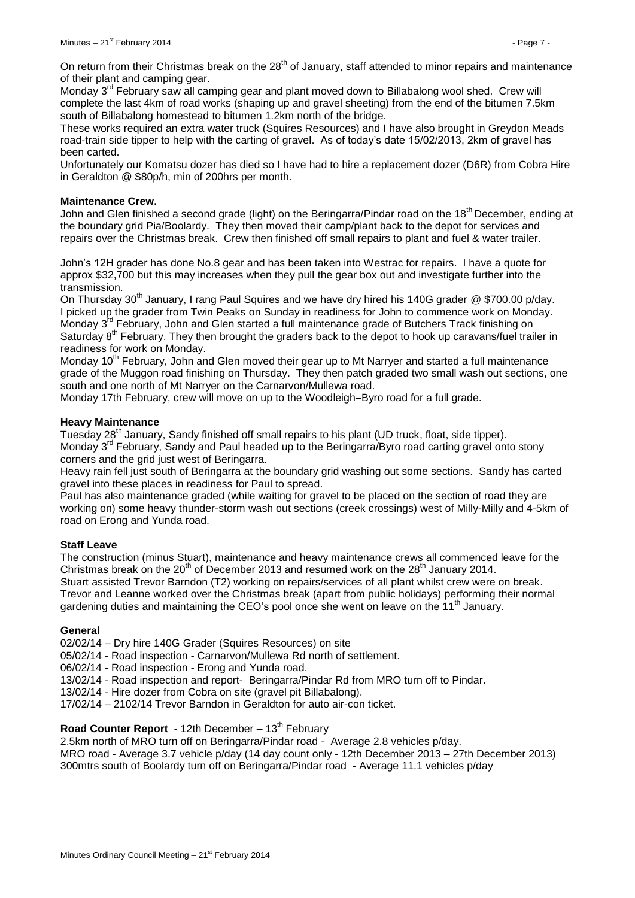On return from their Christmas break on the 28<sup>th</sup> of January, staff attended to minor repairs and maintenance of their plant and camping gear.

Monday 3<sup>rd</sup> February saw all camping gear and plant moved down to Billabalong wool shed. Crew will complete the last 4km of road works (shaping up and gravel sheeting) from the end of the bitumen 7.5km south of Billabalong homestead to bitumen 1.2km north of the bridge.

These works required an extra water truck (Squires Resources) and I have also brought in Greydon Meads road-train side tipper to help with the carting of gravel. As of today's date 15/02/2013, 2km of gravel has been carted.

Unfortunately our Komatsu dozer has died so I have had to hire a replacement dozer (D6R) from Cobra Hire in Geraldton @ \$80p/h, min of 200hrs per month.

#### **Maintenance Crew.**

John and Glen finished a second grade (light) on the Beringarra/Pindar road on the 18<sup>th</sup> December, ending at the boundary grid Pia/Boolardy. They then moved their camp/plant back to the depot for services and repairs over the Christmas break. Crew then finished off small repairs to plant and fuel & water trailer.

John's 12H grader has done No.8 gear and has been taken into Westrac for repairs. I have a quote for approx \$32,700 but this may increases when they pull the gear box out and investigate further into the transmission.

On Thursday 30<sup>th</sup> January, I rang Paul Squires and we have dry hired his 140G grader @ \$700.00 p/dav. I picked up the grader from Twin Peaks on Sunday in readiness for John to commence work on Monday. Monday 3<sup>rd</sup> February, John and Glen started a full maintenance grade of Butchers Track finishing on Saturday  $8<sup>th</sup>$  February. They then brought the graders back to the depot to hook up caravans/fuel trailer in readiness for work on Monday.

Monday 10<sup>th</sup> February, John and Glen moved their gear up to Mt Narryer and started a full maintenance grade of the Muggon road finishing on Thursday. They then patch graded two small wash out sections, one south and one north of Mt Narryer on the Carnarvon/Mullewa road.

Monday 17th February, crew will move on up to the Woodleigh–Byro road for a full grade.

#### **Heavy Maintenance**

Tuesday 28<sup>th</sup> January, Sandy finished off small repairs to his plant (UD truck, float, side tipper). Monday  $3<sup>rd</sup>$  February, Sandy and Paul headed up to the Beringarra/Byro road carting gravel onto stony corners and the grid just west of Beringarra.

Heavy rain fell just south of Beringarra at the boundary grid washing out some sections. Sandy has carted gravel into these places in readiness for Paul to spread.

Paul has also maintenance graded (while waiting for gravel to be placed on the section of road they are working on) some heavy thunder-storm wash out sections (creek crossings) west of Milly-Milly and 4-5km of road on Erong and Yunda road.

#### **Staff Leave**

The construction (minus Stuart), maintenance and heavy maintenance crews all commenced leave for the Christmas break on the  $20<sup>th</sup>$  of December 2013 and resumed work on the  $28<sup>th</sup>$  January 2014. Stuart assisted Trevor Barndon (T2) working on repairs/services of all plant whilst crew were on break. Trevor and Leanne worked over the Christmas break (apart from public holidays) performing their normal gardening duties and maintaining the CEO's pool once she went on leave on the  $11<sup>th</sup>$  January.

#### **General**

02/02/14 – Dry hire 140G Grader (Squires Resources) on site

05/02/14 - Road inspection - Carnarvon/Mullewa Rd north of settlement.

06/02/14 - Road inspection - Erong and Yunda road.

13/02/14 - Road inspection and report- Beringarra/Pindar Rd from MRO turn off to Pindar.

13/02/14 - Hire dozer from Cobra on site (gravel pit Billabalong).

17/02/14 – 2102/14 Trevor Barndon in Geraldton for auto air-con ticket.

# **Road Counter Report -** 12th December – 13<sup>th</sup> February

2.5km north of MRO turn off on Beringarra/Pindar road - Average 2.8 vehicles p/day. MRO road - Average 3.7 vehicle p/day (14 day count only - 12th December 2013 – 27th December 2013) 300mtrs south of Boolardy turn off on Beringarra/Pindar road - Average 11.1 vehicles p/day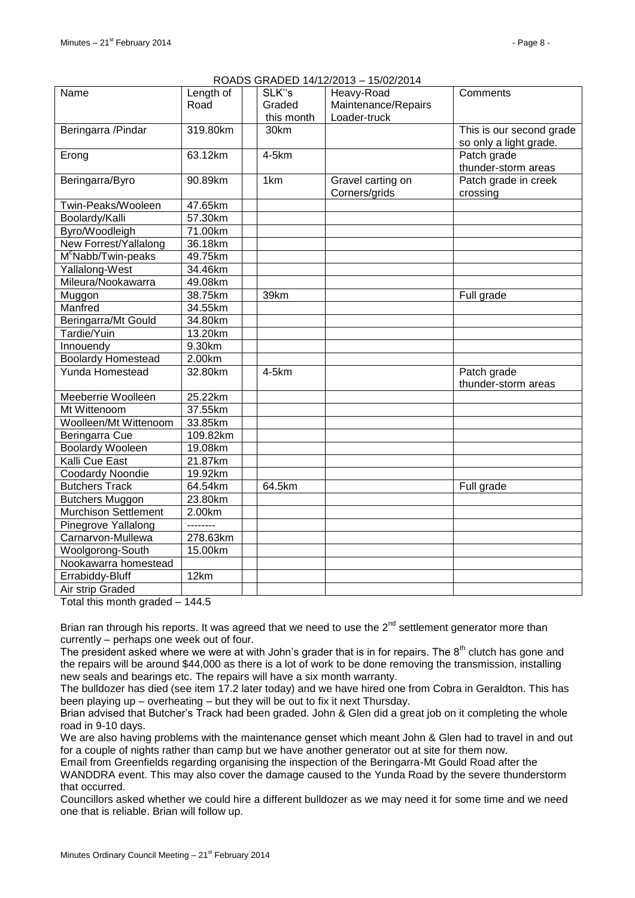## ROADS GRADED 14/12/2013 – 15/02/2014

| Name                           | Length of | 1107100 01171020 17712/2010<br>SLK"s | 1 <i>010414</i> 017<br>Heavy-Road | Comments                 |
|--------------------------------|-----------|--------------------------------------|-----------------------------------|--------------------------|
|                                | Road      | Graded                               | Maintenance/Repairs               |                          |
|                                |           | this month                           | Loader-truck                      |                          |
| Beringarra / Pindar            | 319.80km  | 30km                                 |                                   | This is our second grade |
|                                |           |                                      |                                   | so only a light grade.   |
| Erong                          | 63.12km   | 4-5km                                |                                   | Patch grade              |
|                                |           |                                      |                                   | thunder-storm areas      |
| Beringarra/Byro                | 90.89km   | 1 <sub>km</sub>                      | Gravel carting on                 | Patch grade in creek     |
|                                |           |                                      | Corners/grids                     | crossing                 |
| Twin-Peaks/Wooleen             | 47.65km   |                                      |                                   |                          |
| Boolardy/Kalli                 | 57.30km   |                                      |                                   |                          |
| Byro/Woodleigh                 | 71.00km   |                                      |                                   |                          |
| New Forrest/Yallalong          | 36.18km   |                                      |                                   |                          |
| M <sup>c</sup> Nabb/Twin-peaks | 49.75km   |                                      |                                   |                          |
| Yallalong-West                 | 34.46km   |                                      |                                   |                          |
| Mileura/Nookawarra             | 49.08km   |                                      |                                   |                          |
| Muggon                         | 38.75km   | 39km                                 |                                   | Full grade               |
| Manfred                        | 34.55km   |                                      |                                   |                          |
| Beringarra/Mt Gould            | 34.80km   |                                      |                                   |                          |
| Tardie/Yuin                    | 13.20km   |                                      |                                   |                          |
| Innouendy                      | 9.30km    |                                      |                                   |                          |
| <b>Boolardy Homestead</b>      | 2.00km    |                                      |                                   |                          |
| Yunda Homestead                | 32.80km   | 4-5km                                |                                   | Patch grade              |
|                                |           |                                      |                                   | thunder-storm areas      |
| Meeberrie Woolleen             | 25.22km   |                                      |                                   |                          |
| Mt Wittenoom                   | 37.55km   |                                      |                                   |                          |
| Woolleen/Mt Wittenoom          | 33.85km   |                                      |                                   |                          |
| Beringarra Cue                 | 109.82km  |                                      |                                   |                          |
| <b>Boolardy Wooleen</b>        | 19.08km   |                                      |                                   |                          |
| <b>Kalli Cue East</b>          | 21.87km   |                                      |                                   |                          |
| Coodardy Noondie               | 19.92km   |                                      |                                   |                          |
| <b>Butchers Track</b>          | 64.54km   | 64.5km                               |                                   | Full grade               |
| <b>Butchers Muggon</b>         | 23.80km   |                                      |                                   |                          |
| <b>Murchison Settlement</b>    | 2.00km    |                                      |                                   |                          |
| <b>Pinegrove Yallalong</b>     | --------  |                                      |                                   |                          |
| Carnarvon-Mullewa              | 278.63km  |                                      |                                   |                          |
| Woolgorong-South               | 15.00km   |                                      |                                   |                          |
| Nookawarra homestead           |           |                                      |                                   |                          |
| Errabiddy-Bluff                | 12km      |                                      |                                   |                          |
| Air strip Graded               |           |                                      |                                   |                          |
| Total this month aradod $1445$ |           |                                      |                                   |                          |

Total this month graded – 144.5

Brian ran through his reports. It was agreed that we need to use the  $2<sup>nd</sup>$  settlement generator more than currently – perhaps one week out of four.

The president asked where we were at with John's grader that is in for repairs. The 8<sup>th</sup> clutch has gone and the repairs will be around \$44,000 as there is a lot of work to be done removing the transmission, installing new seals and bearings etc. The repairs will have a six month warranty.

The bulldozer has died (see item 17.2 later today) and we have hired one from Cobra in Geraldton. This has been playing up – overheating – but they will be out to fix it next Thursday.

Brian advised that Butcher's Track had been graded. John & Glen did a great job on it completing the whole road in 9-10 days.

We are also having problems with the maintenance genset which meant John & Glen had to travel in and out for a couple of nights rather than camp but we have another generator out at site for them now.

Email from Greenfields regarding organising the inspection of the Beringarra-Mt Gould Road after the

WANDDRA event. This may also cover the damage caused to the Yunda Road by the severe thunderstorm that occurred.

Councillors asked whether we could hire a different bulldozer as we may need it for some time and we need one that is reliable. Brian will follow up.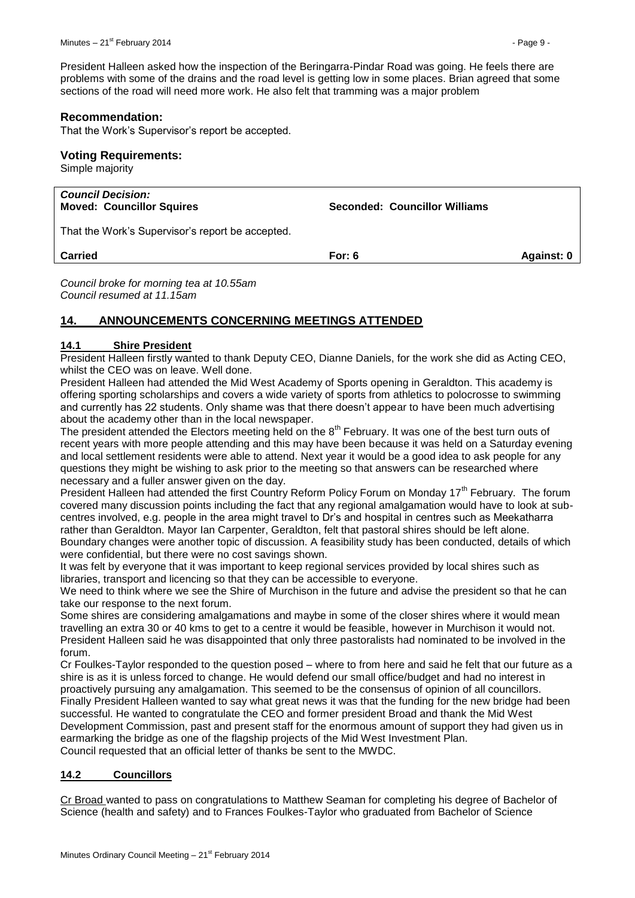President Halleen asked how the inspection of the Beringarra-Pindar Road was going. He feels there are problems with some of the drains and the road level is getting low in some places. Brian agreed that some sections of the road will need more work. He also felt that tramming was a major problem

#### **Recommendation:**

That the Work's Supervisor's report be accepted.

#### **Voting Requirements:**

Simple majority

| <b>Council Decision:</b><br><b>Moved: Councillor Squires</b><br>Seconded: Councillor Williams |          |            |  |
|-----------------------------------------------------------------------------------------------|----------|------------|--|
| That the Work's Supervisor's report be accepted.                                              |          |            |  |
| Carried                                                                                       | For: $6$ | Against: 0 |  |
| Council broke for morning tea at 10.55am<br>Council resumed at 11.15am                        |          |            |  |
| ANNOUNCEMENTS CONCERNING MEETINGS ATTENDED<br>14.                                             |          |            |  |

#### <span id="page-8-1"></span><span id="page-8-0"></span>**14.1 Shire President**

President Halleen firstly wanted to thank Deputy CEO, Dianne Daniels, for the work she did as Acting CEO, whilst the CEO was on leave. Well done.

President Halleen had attended the Mid West Academy of Sports opening in Geraldton. This academy is offering sporting scholarships and covers a wide variety of sports from athletics to polocrosse to swimming and currently has 22 students. Only shame was that there doesn't appear to have been much advertising about the academy other than in the local newspaper.

The president attended the Electors meeting held on the  $8<sup>th</sup>$  February. It was one of the best turn outs of recent years with more people attending and this may have been because it was held on a Saturday evening and local settlement residents were able to attend. Next year it would be a good idea to ask people for any questions they might be wishing to ask prior to the meeting so that answers can be researched where necessary and a fuller answer given on the day.

President Halleen had attended the first Country Reform Policy Forum on Monday 17<sup>th</sup> February. The forum covered many discussion points including the fact that any regional amalgamation would have to look at subcentres involved, e.g. people in the area might travel to Dr's and hospital in centres such as Meekatharra rather than Geraldton. Mayor Ian Carpenter, Geraldton, felt that pastoral shires should be left alone. Boundary changes were another topic of discussion. A feasibility study has been conducted, details of which were confidential, but there were no cost savings shown.

It was felt by everyone that it was important to keep regional services provided by local shires such as libraries, transport and licencing so that they can be accessible to everyone.

We need to think where we see the Shire of Murchison in the future and advise the president so that he can take our response to the next forum.

Some shires are considering amalgamations and maybe in some of the closer shires where it would mean travelling an extra 30 or 40 kms to get to a centre it would be feasible, however in Murchison it would not. President Halleen said he was disappointed that only three pastoralists had nominated to be involved in the forum.

Cr Foulkes-Taylor responded to the question posed – where to from here and said he felt that our future as a shire is as it is unless forced to change. He would defend our small office/budget and had no interest in proactively pursuing any amalgamation. This seemed to be the consensus of opinion of all councillors. Finally President Halleen wanted to say what great news it was that the funding for the new bridge had been successful. He wanted to congratulate the CEO and former president Broad and thank the Mid West Development Commission, past and present staff for the enormous amount of support they had given us in earmarking the bridge as one of the flagship projects of the Mid West Investment Plan. Council requested that an official letter of thanks be sent to the MWDC.

#### <span id="page-8-2"></span>**14.2 Councillors**

Cr Broad wanted to pass on congratulations to Matthew Seaman for completing his degree of Bachelor of Science (health and safety) and to Frances Foulkes-Taylor who graduated from Bachelor of Science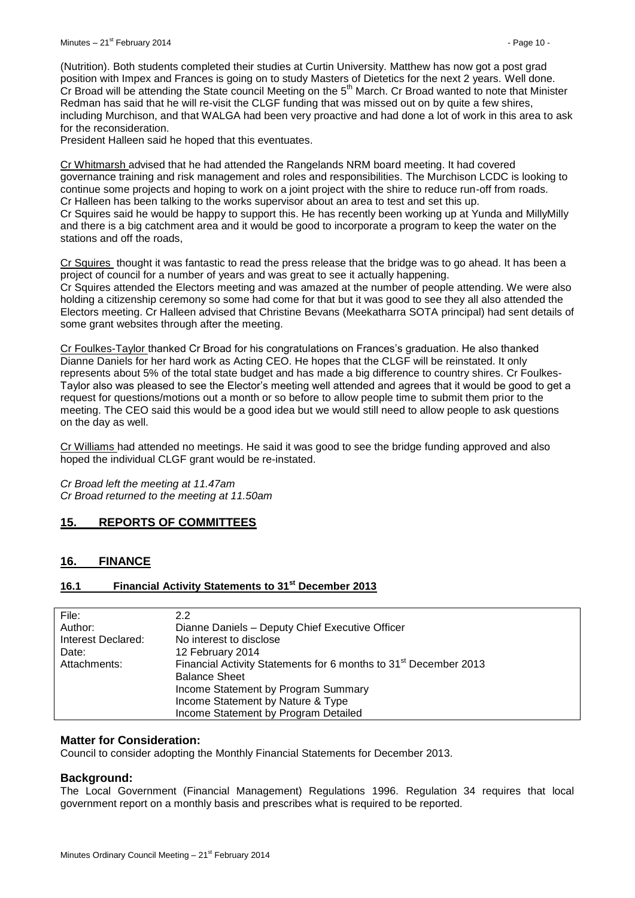(Nutrition). Both students completed their studies at Curtin University. Matthew has now got a post grad position with Impex and Frances is going on to study Masters of Dietetics for the next 2 years. Well done. Cr Broad will be attending the State council Meeting on the 5<sup>th</sup> March. Cr Broad wanted to note that Minister Redman has said that he will re-visit the CLGF funding that was missed out on by quite a few shires, including Murchison, and that WALGA had been very proactive and had done a lot of work in this area to ask for the reconsideration.

President Halleen said he hoped that this eventuates.

Cr Whitmarsh advised that he had attended the Rangelands NRM board meeting. It had covered governance training and risk management and roles and responsibilities. The Murchison LCDC is looking to continue some projects and hoping to work on a joint project with the shire to reduce run-off from roads. Cr Halleen has been talking to the works supervisor about an area to test and set this up. Cr Squires said he would be happy to support this. He has recently been working up at Yunda and MillyMilly and there is a big catchment area and it would be good to incorporate a program to keep the water on the stations and off the roads,

Cr Squires thought it was fantastic to read the press release that the bridge was to go ahead. It has been a project of council for a number of years and was great to see it actually happening. Cr Squires attended the Electors meeting and was amazed at the number of people attending. We were also holding a citizenship ceremony so some had come for that but it was good to see they all also attended the Electors meeting. Cr Halleen advised that Christine Bevans (Meekatharra SOTA principal) had sent details of some grant websites through after the meeting.

Cr Foulkes-Taylor thanked Cr Broad for his congratulations on Frances's graduation. He also thanked Dianne Daniels for her hard work as Acting CEO. He hopes that the CLGF will be reinstated. It only represents about 5% of the total state budget and has made a big difference to country shires. Cr Foulkes-Taylor also was pleased to see the Elector's meeting well attended and agrees that it would be good to get a request for questions/motions out a month or so before to allow people time to submit them prior to the meeting. The CEO said this would be a good idea but we would still need to allow people to ask questions on the day as well.

Cr Williams had attended no meetings. He said it was good to see the bridge funding approved and also hoped the individual CLGF grant would be re-instated.

*Cr Broad left the meeting at 11.47am Cr Broad returned to the meeting at 11.50am*

# <span id="page-9-0"></span>**15. REPORTS OF COMMITTEES**

# <span id="page-9-1"></span>**16. FINANCE**

#### <span id="page-9-2"></span>**16.1 Financial Activity Statements to 31st December 2013**

| File:              | 2.2                                                                          |
|--------------------|------------------------------------------------------------------------------|
| Author:            | Dianne Daniels - Deputy Chief Executive Officer                              |
| Interest Declared: | No interest to disclose                                                      |
| Date:              | 12 February 2014                                                             |
| Attachments:       | Financial Activity Statements for 6 months to 31 <sup>st</sup> December 2013 |
|                    | <b>Balance Sheet</b>                                                         |
|                    | Income Statement by Program Summary                                          |
|                    | Income Statement by Nature & Type                                            |
|                    | Income Statement by Program Detailed                                         |

## **Matter for Consideration:**

Council to consider adopting the Monthly Financial Statements for December 2013.

#### **Background:**

The Local Government (Financial Management) Regulations 1996. Regulation 34 requires that local government report on a monthly basis and prescribes what is required to be reported.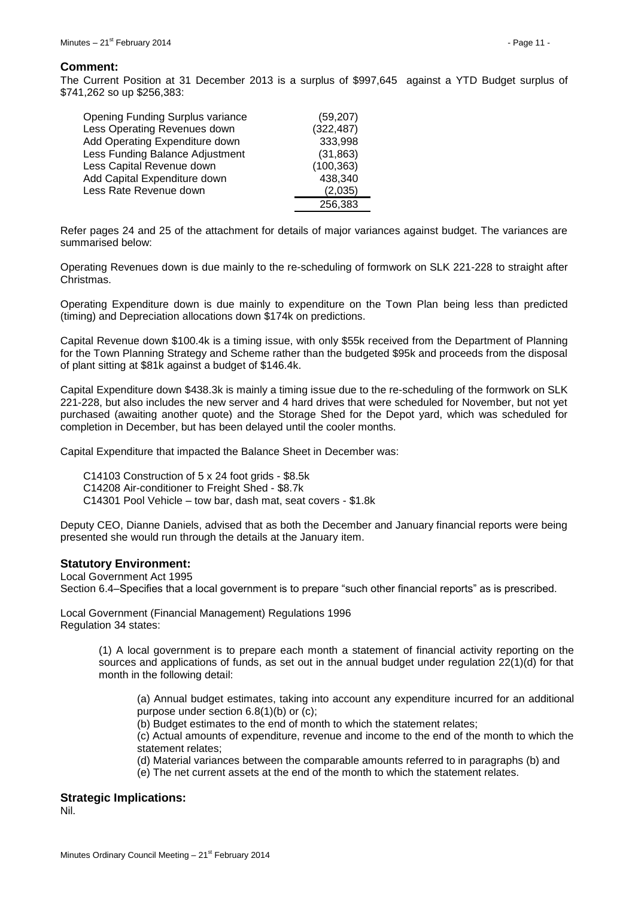#### **Comment:**

The Current Position at 31 December 2013 is a surplus of \$997,645 against a YTD Budget surplus of \$741,262 so up \$256,383:

| <b>Opening Funding Surplus variance</b> | (59, 207)  |
|-----------------------------------------|------------|
| Less Operating Revenues down            | (322, 487) |
| Add Operating Expenditure down          | 333,998    |
| Less Funding Balance Adjustment         | (31, 863)  |
| Less Capital Revenue down               | (100, 363) |
| Add Capital Expenditure down            | 438,340    |
| Less Rate Revenue down                  | (2,035)    |
|                                         | 256,383    |

Refer pages 24 and 25 of the attachment for details of major variances against budget. The variances are summarised below:

Operating Revenues down is due mainly to the re-scheduling of formwork on SLK 221-228 to straight after Christmas.

Operating Expenditure down is due mainly to expenditure on the Town Plan being less than predicted (timing) and Depreciation allocations down \$174k on predictions.

Capital Revenue down \$100.4k is a timing issue, with only \$55k received from the Department of Planning for the Town Planning Strategy and Scheme rather than the budgeted \$95k and proceeds from the disposal of plant sitting at \$81k against a budget of \$146.4k.

Capital Expenditure down \$438.3k is mainly a timing issue due to the re-scheduling of the formwork on SLK 221-228, but also includes the new server and 4 hard drives that were scheduled for November, but not yet purchased (awaiting another quote) and the Storage Shed for the Depot yard, which was scheduled for completion in December, but has been delayed until the cooler months.

Capital Expenditure that impacted the Balance Sheet in December was:

C14103 Construction of 5 x 24 foot grids - \$8.5k

C14208 Air-conditioner to Freight Shed - \$8.7k

C14301 Pool Vehicle – tow bar, dash mat, seat covers - \$1.8k

Deputy CEO, Dianne Daniels, advised that as both the December and January financial reports were being presented she would run through the details at the January item.

#### **Statutory Environment:**

Local Government Act 1995

Section 6.4–Specifies that a local government is to prepare "such other financial reports" as is prescribed.

Local Government (Financial Management) Regulations 1996 Regulation 34 states:

> (1) A local government is to prepare each month a statement of financial activity reporting on the sources and applications of funds, as set out in the annual budget under regulation 22(1)(d) for that month in the following detail:

(a) Annual budget estimates, taking into account any expenditure incurred for an additional purpose under section 6.8(1)(b) or (c);

(b) Budget estimates to the end of month to which the statement relates;

(c) Actual amounts of expenditure, revenue and income to the end of the month to which the statement relates;

(d) Material variances between the comparable amounts referred to in paragraphs (b) and (e) The net current assets at the end of the month to which the statement relates.

#### **Strategic Implications:**

Nil.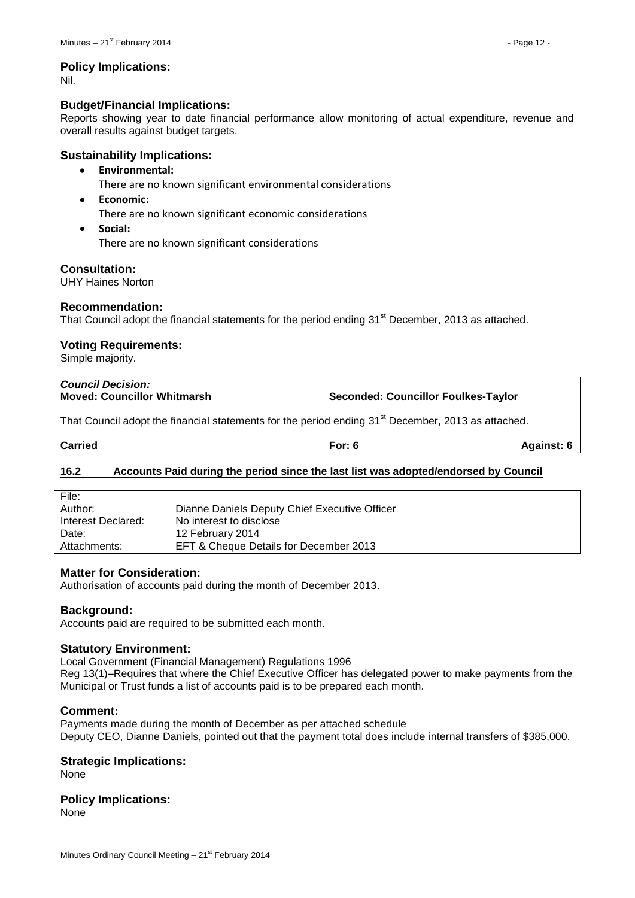#### **Policy Implications:**

Nil.

#### **Budget/Financial Implications:**

Reports showing year to date financial performance allow monitoring of actual expenditure, revenue and overall results against budget targets.

# **Sustainability Implications:**

 $\bullet$ **Environmental:**

There are no known significant environmental considerations

- **Economic:**  $\bullet$ There are no known significant economic considerations
- **Social:**  $\bullet$ There are no known significant considerations

# **Consultation:**

UHY Haines Norton

#### **Recommendation:**

That Council adopt the financial statements for the period ending 31<sup>st</sup> December, 2013 as attached.

#### **Voting Requirements:**

Simple majority.

| <b>Council Decision:</b><br><b>Moved: Councillor Whitmarsh</b>                                                 | <b>Seconded: Councillor Foulkes-Taylor</b> |            |
|----------------------------------------------------------------------------------------------------------------|--------------------------------------------|------------|
| That Council adopt the financial statements for the period ending 31 <sup>st</sup> December, 2013 as attached. |                                            |            |
| <b>Carried</b>                                                                                                 | For: $6$                                   | Against: 6 |
| 16.2<br>Accounts Paid during the period since the last list was adopted/endorsed by Council                    |                                            |            |

<span id="page-11-0"></span>

| File:              |                                               |
|--------------------|-----------------------------------------------|
| Author:            | Dianne Daniels Deputy Chief Executive Officer |
| Interest Declared: | No interest to disclose                       |
| Date:              | 12 February 2014                              |
| Attachments:       | EFT & Cheque Details for December 2013        |

#### **Matter for Consideration:**

Authorisation of accounts paid during the month of December 2013.

#### **Background:**

Accounts paid are required to be submitted each month.

#### **Statutory Environment:**

Local Government (Financial Management) Regulations 1996 Reg 13(1)–Requires that where the Chief Executive Officer has delegated power to make payments from the Municipal or Trust funds a list of accounts paid is to be prepared each month.

#### **Comment:**

Payments made during the month of December as per attached schedule Deputy CEO, Dianne Daniels, pointed out that the payment total does include internal transfers of \$385,000.

#### **Strategic Implications:**

None

#### **Policy Implications:**

None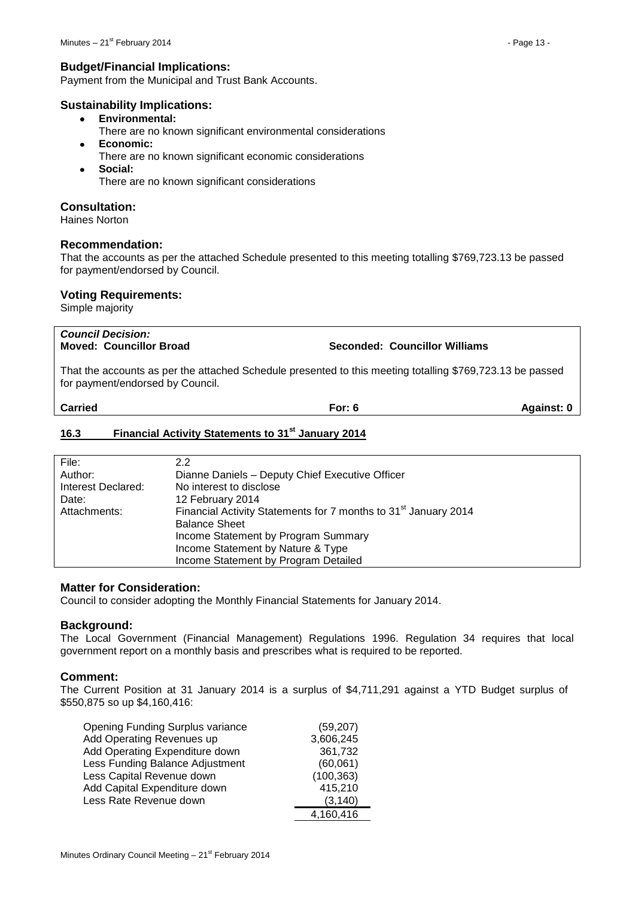#### **Budget/Financial Implications:**

Payment from the Municipal and Trust Bank Accounts.

#### **Sustainability Implications:**

- **Environmental:**
	- There are no known significant environmental considerations
- $\bullet$ **Economic:**
	- There are no known significant economic considerations
- **Social:**  $\bullet$ There are no known significant considerations

# **Consultation:**

Haines Norton

#### **Recommendation:**

That the accounts as per the attached Schedule presented to this meeting totalling \$769,723.13 be passed for payment/endorsed by Council.

#### **Voting Requirements:**

Simple majority

| <b>Council Decision:</b><br><b>Moved: Councillor Broad</b>                                                                                    | Seconded: Councillor Williams |            |
|-----------------------------------------------------------------------------------------------------------------------------------------------|-------------------------------|------------|
| That the accounts as per the attached Schedule presented to this meeting totalling \$769,723.13 be passed<br>for payment/endorsed by Council. |                               |            |
| <b>Carried</b>                                                                                                                                | For: $6$                      | Against: 0 |

## <span id="page-12-0"></span>**16.3 Financial Activity Statements to 31st January 2014**

| $2.2\phantom{0}$                                                            |
|-----------------------------------------------------------------------------|
| Dianne Daniels - Deputy Chief Executive Officer                             |
| No interest to disclose                                                     |
| 12 February 2014                                                            |
| Financial Activity Statements for 7 months to 31 <sup>st</sup> January 2014 |
| <b>Balance Sheet</b>                                                        |
| Income Statement by Program Summary                                         |
| Income Statement by Nature & Type                                           |
| Income Statement by Program Detailed                                        |
|                                                                             |

#### **Matter for Consideration:**

Council to consider adopting the Monthly Financial Statements for January 2014.

#### **Background:**

The Local Government (Financial Management) Regulations 1996. Regulation 34 requires that local government report on a monthly basis and prescribes what is required to be reported.

#### **Comment:**

The Current Position at 31 January 2014 is a surplus of \$4,711,291 against a YTD Budget surplus of \$550,875 so up \$4,160,416:

| <b>Opening Funding Surplus variance</b> | (59, 207)  |
|-----------------------------------------|------------|
| Add Operating Revenues up               | 3,606,245  |
| Add Operating Expenditure down          | 361,732    |
| Less Funding Balance Adjustment         | (60,061)   |
| Less Capital Revenue down               | (100, 363) |
| Add Capital Expenditure down            | 415,210    |
| Less Rate Revenue down                  | (3, 140)   |
|                                         | 4,160,416  |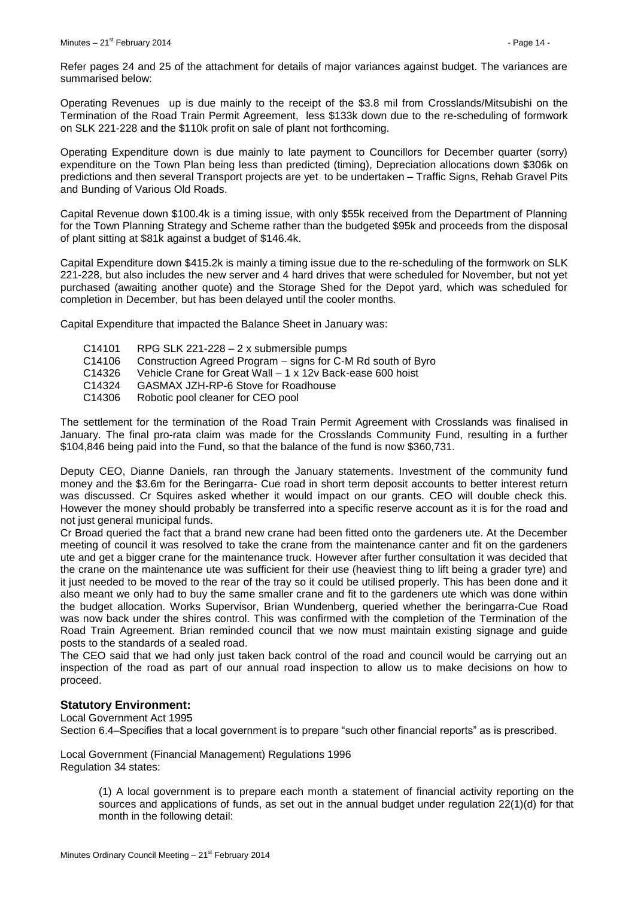Refer pages 24 and 25 of the attachment for details of major variances against budget. The variances are summarised below:

Operating Revenues up is due mainly to the receipt of the \$3.8 mil from Crosslands/Mitsubishi on the Termination of the Road Train Permit Agreement, less \$133k down due to the re-scheduling of formwork on SLK 221-228 and the \$110k profit on sale of plant not forthcoming.

Operating Expenditure down is due mainly to late payment to Councillors for December quarter (sorry) expenditure on the Town Plan being less than predicted (timing), Depreciation allocations down \$306k on predictions and then several Transport projects are yet to be undertaken – Traffic Signs, Rehab Gravel Pits and Bunding of Various Old Roads.

Capital Revenue down \$100.4k is a timing issue, with only \$55k received from the Department of Planning for the Town Planning Strategy and Scheme rather than the budgeted \$95k and proceeds from the disposal of plant sitting at \$81k against a budget of \$146.4k.

Capital Expenditure down \$415.2k is mainly a timing issue due to the re-scheduling of the formwork on SLK 221-228, but also includes the new server and 4 hard drives that were scheduled for November, but not yet purchased (awaiting another quote) and the Storage Shed for the Depot yard, which was scheduled for completion in December, but has been delayed until the cooler months.

Capital Expenditure that impacted the Balance Sheet in January was:

- C14101 RPG SLK 221-228 2 x submersible pumps
- C14106 Construction Agreed Program signs for C-M Rd south of Byro
- C14326 Vehicle Crane for Great Wall 1 x 12v Back-ease 600 hoist
- C14324 GASMAX JZH-RP-6 Stove for Roadhouse
- C14306 Robotic pool cleaner for CEO pool

The settlement for the termination of the Road Train Permit Agreement with Crosslands was finalised in January. The final pro-rata claim was made for the Crosslands Community Fund, resulting in a further \$104,846 being paid into the Fund, so that the balance of the fund is now \$360,731.

Deputy CEO, Dianne Daniels, ran through the January statements. Investment of the community fund money and the \$3.6m for the Beringarra- Cue road in short term deposit accounts to better interest return was discussed. Cr Squires asked whether it would impact on our grants. CEO will double check this. However the money should probably be transferred into a specific reserve account as it is for the road and not just general municipal funds.

Cr Broad queried the fact that a brand new crane had been fitted onto the gardeners ute. At the December meeting of council it was resolved to take the crane from the maintenance canter and fit on the gardeners ute and get a bigger crane for the maintenance truck. However after further consultation it was decided that the crane on the maintenance ute was sufficient for their use (heaviest thing to lift being a grader tyre) and it just needed to be moved to the rear of the tray so it could be utilised properly. This has been done and it also meant we only had to buy the same smaller crane and fit to the gardeners ute which was done within the budget allocation. Works Supervisor, Brian Wundenberg, queried whether the beringarra-Cue Road was now back under the shires control. This was confirmed with the completion of the Termination of the Road Train Agreement. Brian reminded council that we now must maintain existing signage and guide posts to the standards of a sealed road.

The CEO said that we had only just taken back control of the road and council would be carrying out an inspection of the road as part of our annual road inspection to allow us to make decisions on how to proceed.

# **Statutory Environment:**

Local Government Act 1995 Section 6.4–Specifies that a local government is to prepare "such other financial reports" as is prescribed.

Local Government (Financial Management) Regulations 1996 Regulation 34 states:

> (1) A local government is to prepare each month a statement of financial activity reporting on the sources and applications of funds, as set out in the annual budget under regulation 22(1)(d) for that month in the following detail: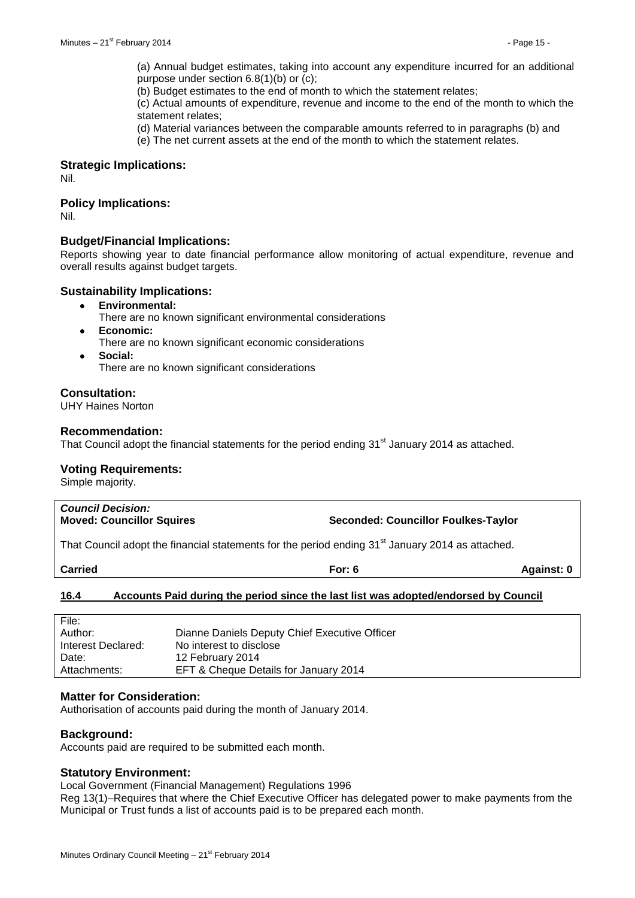(a) Annual budget estimates, taking into account any expenditure incurred for an additional purpose under section 6.8(1)(b) or (c);

(b) Budget estimates to the end of month to which the statement relates;

(c) Actual amounts of expenditure, revenue and income to the end of the month to which the statement relates;

(d) Material variances between the comparable amounts referred to in paragraphs (b) and

(e) The net current assets at the end of the month to which the statement relates.

#### **Strategic Implications:**

Nil.

#### **Policy Implications:**

Nil.

#### **Budget/Financial Implications:**

Reports showing year to date financial performance allow monitoring of actual expenditure, revenue and overall results against budget targets.

#### **Sustainability Implications:**

- **Environmental:**  $\bullet$ 
	- There are no known significant environmental considerations
- **Economic:**
	- There are no known significant economic considerations
- **Social:** There are no known significant considerations

#### **Consultation:**

UHY Haines Norton

#### **Recommendation:**

That Council adopt the financial statements for the period ending  $31<sup>st</sup>$  January 2014 as attached.

#### **Voting Requirements:**

Simple majority.

| <b>Council Decision:</b>         |                                            |
|----------------------------------|--------------------------------------------|
| <b>Moved: Councillor Squires</b> | <b>Seconded: Councillor Foulkes-Taylor</b> |

That Council adopt the financial statements for the period ending  $31<sup>st</sup>$  January 2014 as attached.

**Carried For: 6 Against: 0**

#### <span id="page-14-0"></span>**16.4 Accounts Paid during the period since the last list was adopted/endorsed by Council**

| File:              |                                               |
|--------------------|-----------------------------------------------|
| Author:            | Dianne Daniels Deputy Chief Executive Officer |
| Interest Declared: | No interest to disclose                       |
| Date:              | 12 February 2014                              |
| Attachments:       | EFT & Cheque Details for January 2014         |
|                    |                                               |

#### **Matter for Consideration:**

Authorisation of accounts paid during the month of January 2014.

#### **Background:**

Accounts paid are required to be submitted each month.

#### **Statutory Environment:**

Local Government (Financial Management) Regulations 1996

Reg 13(1)–Requires that where the Chief Executive Officer has delegated power to make payments from the Municipal or Trust funds a list of accounts paid is to be prepared each month.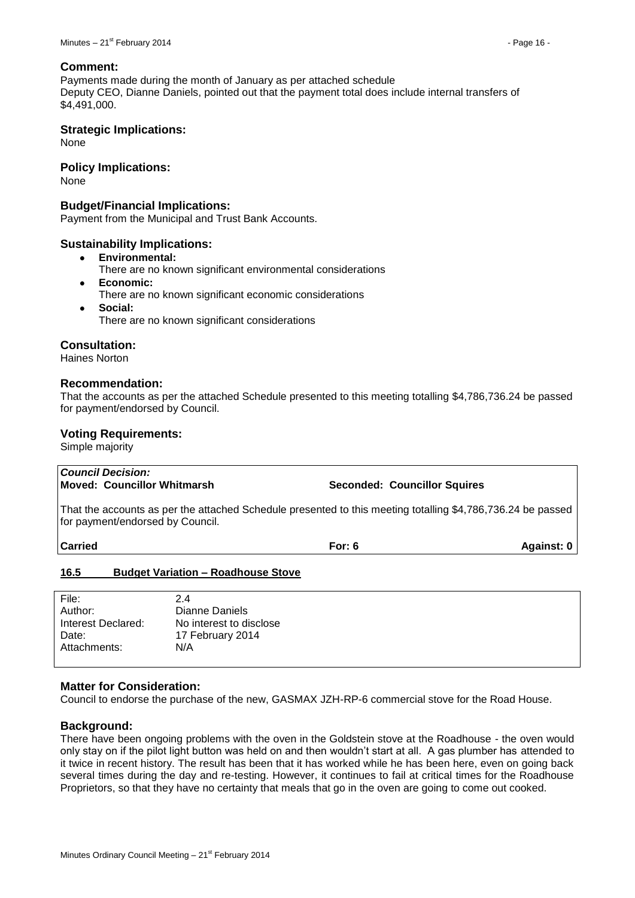#### **Comment:**

Payments made during the month of January as per attached schedule Deputy CEO, Dianne Daniels, pointed out that the payment total does include internal transfers of \$4,491,000.

#### **Strategic Implications:**

None

#### **Policy Implications:**

None

#### **Budget/Financial Implications:**

Payment from the Municipal and Trust Bank Accounts.

#### **Sustainability Implications:**

- **Environmental:**  $\bullet$ 
	- There are no known significant environmental considerations
- **Economic:**  $\bullet$ There are no known significant economic considerations
- **Social:** There are no known significant considerations

## **Consultation:**

Haines Norton

#### **Recommendation:**

That the accounts as per the attached Schedule presented to this meeting totalling \$4,786,736.24 be passed for payment/endorsed by Council.

#### **Voting Requirements:**

Simple majority

| Council Decision:<br>Moved: Councillor Whitmarsh                                                                                                | <b>Seconded: Councillor Squires</b> |            |
|-------------------------------------------------------------------------------------------------------------------------------------------------|-------------------------------------|------------|
| That the accounts as per the attached Schedule presented to this meeting totalling \$4,786,736.24 be passed<br>for payment/endorsed by Council. |                                     |            |
| <b>Carried</b>                                                                                                                                  | For: $6$                            | Against: 0 |
| 16.5<br><b>Budget Variation - Roadhouse Stove</b>                                                                                               |                                     |            |

<span id="page-15-0"></span>

| File:              | 2.4                     |
|--------------------|-------------------------|
| Author:            | Dianne Daniels          |
| Interest Declared: | No interest to disclose |
| Date:              | 17 February 2014        |
| Attachments:       | N/A                     |
|                    |                         |

#### **Matter for Consideration:**

Council to endorse the purchase of the new, GASMAX JZH-RP-6 commercial stove for the Road House.

#### **Background:**

There have been ongoing problems with the oven in the Goldstein stove at the Roadhouse - the oven would only stay on if the pilot light button was held on and then wouldn't start at all. A gas plumber has attended to it twice in recent history. The result has been that it has worked while he has been here, even on going back several times during the day and re-testing. However, it continues to fail at critical times for the Roadhouse Proprietors, so that they have no certainty that meals that go in the oven are going to come out cooked.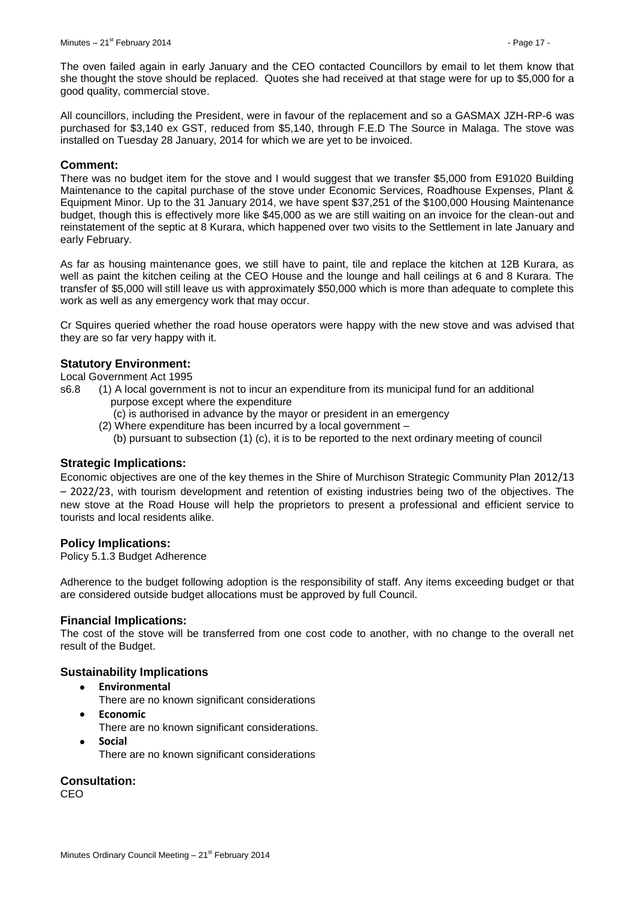The oven failed again in early January and the CEO contacted Councillors by email to let them know that she thought the stove should be replaced. Quotes she had received at that stage were for up to \$5,000 for a good quality, commercial stove.

All councillors, including the President, were in favour of the replacement and so a GASMAX JZH-RP-6 was purchased for \$3,140 ex GST, reduced from \$5,140, through F.E.D The Source in Malaga. The stove was installed on Tuesday 28 January, 2014 for which we are yet to be invoiced.

#### **Comment:**

There was no budget item for the stove and I would suggest that we transfer \$5,000 from E91020 Building Maintenance to the capital purchase of the stove under Economic Services, Roadhouse Expenses, Plant & Equipment Minor. Up to the 31 January 2014, we have spent \$37,251 of the \$100,000 Housing Maintenance budget, though this is effectively more like \$45,000 as we are still waiting on an invoice for the clean-out and reinstatement of the septic at 8 Kurara, which happened over two visits to the Settlement in late January and early February.

As far as housing maintenance goes, we still have to paint, tile and replace the kitchen at 12B Kurara, as well as paint the kitchen ceiling at the CEO House and the lounge and hall ceilings at 6 and 8 Kurara. The transfer of \$5,000 will still leave us with approximately \$50,000 which is more than adequate to complete this work as well as any emergency work that may occur.

Cr Squires queried whether the road house operators were happy with the new stove and was advised that they are so far very happy with it.

## **Statutory Environment:**

Local Government Act 1995

- s6.8 (1) A local government is not to incur an expenditure from its municipal fund for an additional purpose except where the expenditure
	- (c) is authorised in advance by the mayor or president in an emergency
	- (2) Where expenditure has been incurred by a local government
		- (b) pursuant to subsection (1) (c), it is to be reported to the next ordinary meeting of council

#### **Strategic Implications:**

Economic objectives are one of the key themes in the Shire of Murchison Strategic Community Plan 2012/13 – 2022/23, with tourism development and retention of existing industries being two of the objectives. The new stove at the Road House will help the proprietors to present a professional and efficient service to tourists and local residents alike.

#### **Policy Implications:**

Policy 5.1.3 Budget Adherence

Adherence to the budget following adoption is the responsibility of staff. Any items exceeding budget or that are considered outside budget allocations must be approved by full Council.

#### **Financial Implications:**

The cost of the stove will be transferred from one cost code to another, with no change to the overall net result of the Budget.

#### **Sustainability Implications**

- $\bullet$ **Environmental**
	- There are no known significant considerations
- $\bullet$ **Economic**
	- There are no known significant considerations.
- **Social**

There are no known significant considerations

**Consultation:**

CEO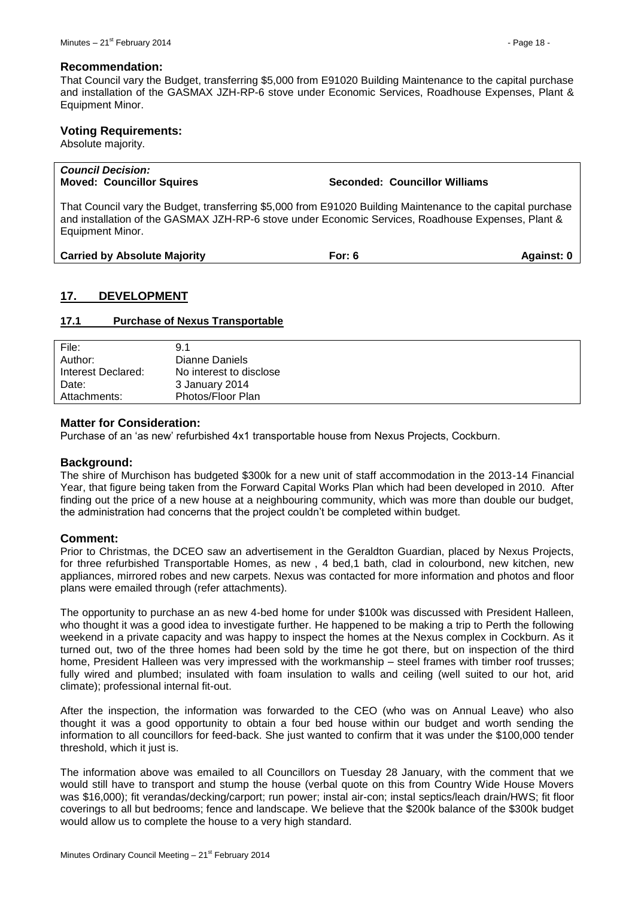That Council vary the Budget, transferring \$5,000 from E91020 Building Maintenance to the capital purchase and installation of the GASMAX JZH-RP-6 stove under Economic Services, Roadhouse Expenses, Plant & Equipment Minor.

#### **Voting Requirements:**

Absolute majority.

# *Council Decision:* **Moved: Councillor Squires Seconded: Councillor Williams**

That Council vary the Budget, transferring \$5,000 from E91020 Building Maintenance to the capital purchase and installation of the GASMAX JZH-RP-6 stove under Economic Services, Roadhouse Expenses, Plant & Equipment Minor.

| <b>Carried by Absolute Majority</b> | For: 6 | Against: 0 |
|-------------------------------------|--------|------------|
|                                     |        |            |

# <span id="page-17-0"></span>**17. DEVELOPMENT**

#### <span id="page-17-1"></span>**17.1 Purchase of Nexus Transportable**

| File:              | 9.1                     |
|--------------------|-------------------------|
| Author:            | Dianne Daniels          |
| Interest Declared: | No interest to disclose |
| Date:              | 3 January 2014          |
| Attachments:       | Photos/Floor Plan       |

## **Matter for Consideration:**

Purchase of an 'as new' refurbished 4x1 transportable house from Nexus Projects, Cockburn.

#### **Background:**

The shire of Murchison has budgeted \$300k for a new unit of staff accommodation in the 2013-14 Financial Year, that figure being taken from the Forward Capital Works Plan which had been developed in 2010. After finding out the price of a new house at a neighbouring community, which was more than double our budget, the administration had concerns that the project couldn't be completed within budget.

#### **Comment:**

Prior to Christmas, the DCEO saw an advertisement in the Geraldton Guardian, placed by Nexus Projects, for three refurbished Transportable Homes, as new , 4 bed,1 bath, clad in colourbond, new kitchen, new appliances, mirrored robes and new carpets. Nexus was contacted for more information and photos and floor plans were emailed through (refer attachments).

The opportunity to purchase an as new 4-bed home for under \$100k was discussed with President Halleen, who thought it was a good idea to investigate further. He happened to be making a trip to Perth the following weekend in a private capacity and was happy to inspect the homes at the Nexus complex in Cockburn. As it turned out, two of the three homes had been sold by the time he got there, but on inspection of the third home, President Halleen was very impressed with the workmanship – steel frames with timber roof trusses; fully wired and plumbed; insulated with foam insulation to walls and ceiling (well suited to our hot, arid climate); professional internal fit-out.

After the inspection, the information was forwarded to the CEO (who was on Annual Leave) who also thought it was a good opportunity to obtain a four bed house within our budget and worth sending the information to all councillors for feed-back. She just wanted to confirm that it was under the \$100,000 tender threshold, which it just is.

The information above was emailed to all Councillors on Tuesday 28 January, with the comment that we would still have to transport and stump the house (verbal quote on this from Country Wide House Movers was \$16,000); fit verandas/decking/carport; run power; instal air-con; instal septics/leach drain/HWS; fit floor coverings to all but bedrooms; fence and landscape. We believe that the \$200k balance of the \$300k budget would allow us to complete the house to a very high standard.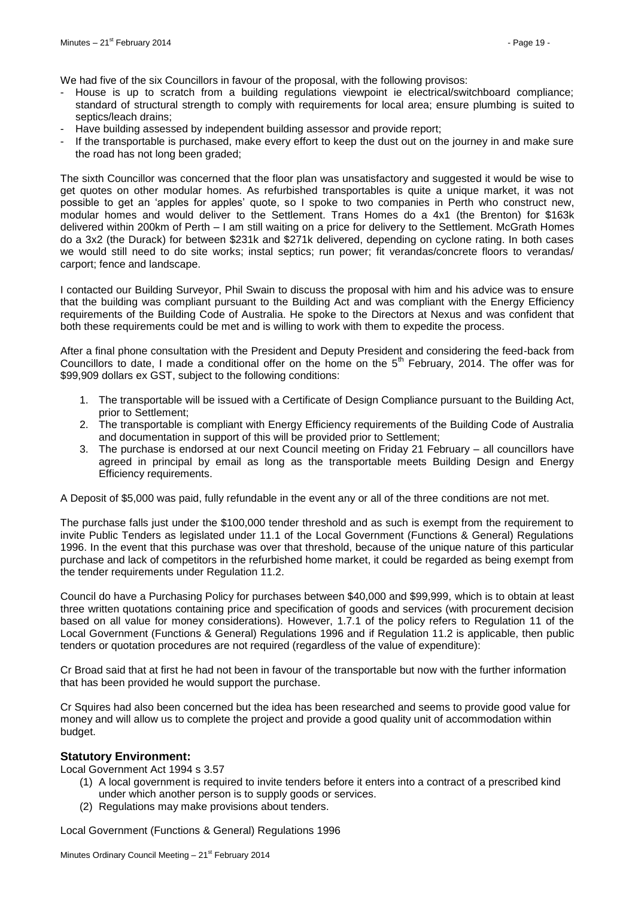We had five of the six Councillors in favour of the proposal, with the following provisos:

- House is up to scratch from a building regulations viewpoint ie electrical/switchboard compliance; standard of structural strength to comply with requirements for local area; ensure plumbing is suited to septics/leach drains;
- Have building assessed by independent building assessor and provide report;
- If the transportable is purchased, make every effort to keep the dust out on the journey in and make sure the road has not long been graded;

The sixth Councillor was concerned that the floor plan was unsatisfactory and suggested it would be wise to get quotes on other modular homes. As refurbished transportables is quite a unique market, it was not possible to get an 'apples for apples' quote, so I spoke to two companies in Perth who construct new, modular homes and would deliver to the Settlement. Trans Homes do a 4x1 (the Brenton) for \$163k delivered within 200km of Perth – I am still waiting on a price for delivery to the Settlement. McGrath Homes do a 3x2 (the Durack) for between \$231k and \$271k delivered, depending on cyclone rating. In both cases we would still need to do site works; instal septics; run power; fit verandas/concrete floors to verandas/ carport; fence and landscape.

I contacted our Building Surveyor, Phil Swain to discuss the proposal with him and his advice was to ensure that the building was compliant pursuant to the Building Act and was compliant with the Energy Efficiency requirements of the Building Code of Australia. He spoke to the Directors at Nexus and was confident that both these requirements could be met and is willing to work with them to expedite the process.

After a final phone consultation with the President and Deputy President and considering the feed-back from Councillors to date, I made a conditional offer on the home on the 5<sup>th</sup> February, 2014. The offer was for \$99,909 dollars ex GST, subject to the following conditions:

- 1. The transportable will be issued with a Certificate of Design Compliance pursuant to the Building Act, prior to Settlement;
- 2. The transportable is compliant with Energy Efficiency requirements of the Building Code of Australia and documentation in support of this will be provided prior to Settlement;
- 3. The purchase is endorsed at our next Council meeting on Friday 21 February all councillors have agreed in principal by email as long as the transportable meets Building Design and Energy Efficiency requirements.

A Deposit of \$5,000 was paid, fully refundable in the event any or all of the three conditions are not met.

The purchase falls just under the \$100,000 tender threshold and as such is exempt from the requirement to invite Public Tenders as legislated under 11.1 of the Local Government (Functions & General) Regulations 1996. In the event that this purchase was over that threshold, because of the unique nature of this particular purchase and lack of competitors in the refurbished home market, it could be regarded as being exempt from the tender requirements under Regulation 11.2.

Council do have a Purchasing Policy for purchases between \$40,000 and \$99,999, which is to obtain at least three written quotations containing price and specification of goods and services (with procurement decision based on all value for money considerations). However, 1.7.1 of the policy refers to Regulation 11 of the Local Government (Functions & General) Regulations 1996 and if Regulation 11.2 is applicable, then public tenders or quotation procedures are not required (regardless of the value of expenditure):

Cr Broad said that at first he had not been in favour of the transportable but now with the further information that has been provided he would support the purchase.

Cr Squires had also been concerned but the idea has been researched and seems to provide good value for money and will allow us to complete the project and provide a good quality unit of accommodation within budget.

#### **Statutory Environment:**

Local Government Act 1994 s 3.57

- (1) A local government is required to invite tenders before it enters into a contract of a prescribed kind under which another person is to supply goods or services.
- (2) Regulations may make provisions about tenders.

Local Government (Functions & General) Regulations 1996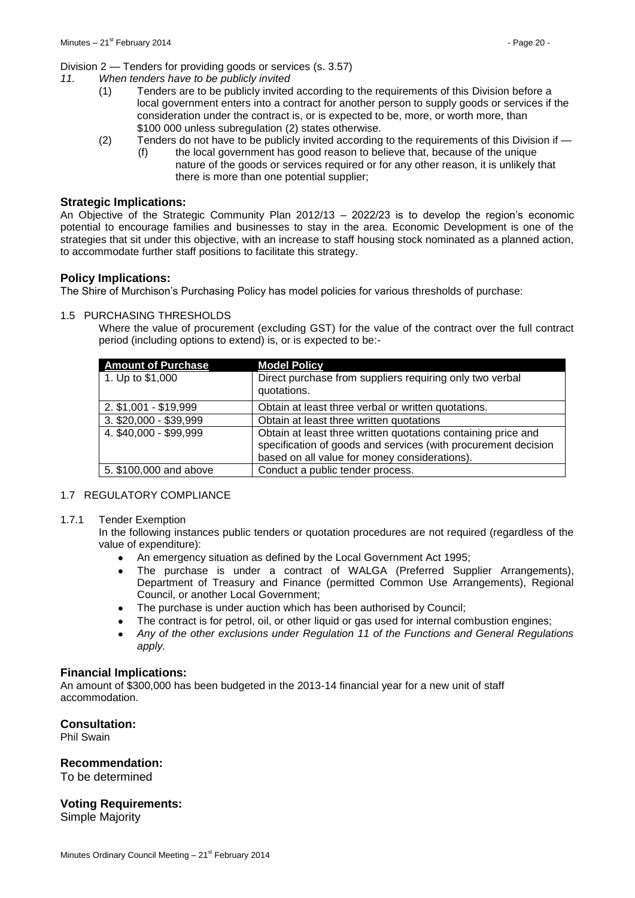Division 2 — Tenders for providing goods or services (s. 3.57)

- *11. When tenders have to be publicly invited*
	- (1) Tenders are to be publicly invited according to the requirements of this Division before a local government enters into a contract for another person to supply goods or services if the consideration under the contract is, or is expected to be, more, or worth more, than \$100 000 unless subregulation (2) states otherwise.
	- (2) Tenders do not have to be publicly invited according to the requirements of this Division if
		- (f) the local government has good reason to believe that, because of the unique nature of the goods or services required or for any other reason, it is unlikely that there is more than one potential supplier;

#### **Strategic Implications:**

An Objective of the Strategic Community Plan 2012/13 – 2022/23 is to develop the region's economic potential to encourage families and businesses to stay in the area. Economic Development is one of the strategies that sit under this objective, with an increase to staff housing stock nominated as a planned action, to accommodate further staff positions to facilitate this strategy.

#### **Policy Implications:**

The Shire of Murchison's Purchasing Policy has model policies for various thresholds of purchase:

#### 1.5 PURCHASING THRESHOLDS

Where the value of procurement (excluding GST) for the value of the contract over the full contract period (including options to extend) is, or is expected to be:-

| <b>Amount of Purchase</b> | <b>Model Policy</b>                                                     |
|---------------------------|-------------------------------------------------------------------------|
| 1. Up to \$1,000          | Direct purchase from suppliers requiring only two verbal<br>quotations. |
| 2. \$1,001 - \$19,999     | Obtain at least three verbal or written quotations.                     |
| 3. \$20,000 - \$39,999    | Obtain at least three written quotations                                |
| 4. \$40,000 - \$99,999    | Obtain at least three written quotations containing price and           |
|                           | specification of goods and services (with procurement decision          |
|                           | based on all value for money considerations).                           |
| 5. \$100,000 and above    | Conduct a public tender process.                                        |

#### 1.7 REGULATORY COMPLIANCE

#### 1.7.1 Tender Exemption

In the following instances public tenders or quotation procedures are not required (regardless of the value of expenditure):

- An emergency situation as defined by the Local Government Act 1995;
- The purchase is under a contract of WALGA (Preferred Supplier Arrangements), Department of Treasury and Finance (permitted Common Use Arrangements), Regional Council, or another Local Government;
- The purchase is under auction which has been authorised by Council;
- The contract is for petrol, oil, or other liquid or gas used for internal combustion engines;
- *Any of the other exclusions under Regulation 11 of the Functions and General Regulations apply.*

#### **Financial Implications:**

An amount of \$300,000 has been budgeted in the 2013-14 financial year for a new unit of staff accommodation.

#### **Consultation:**

Phil Swain

#### **Recommendation:**

To be determined

#### **Voting Requirements:**

Simple Majority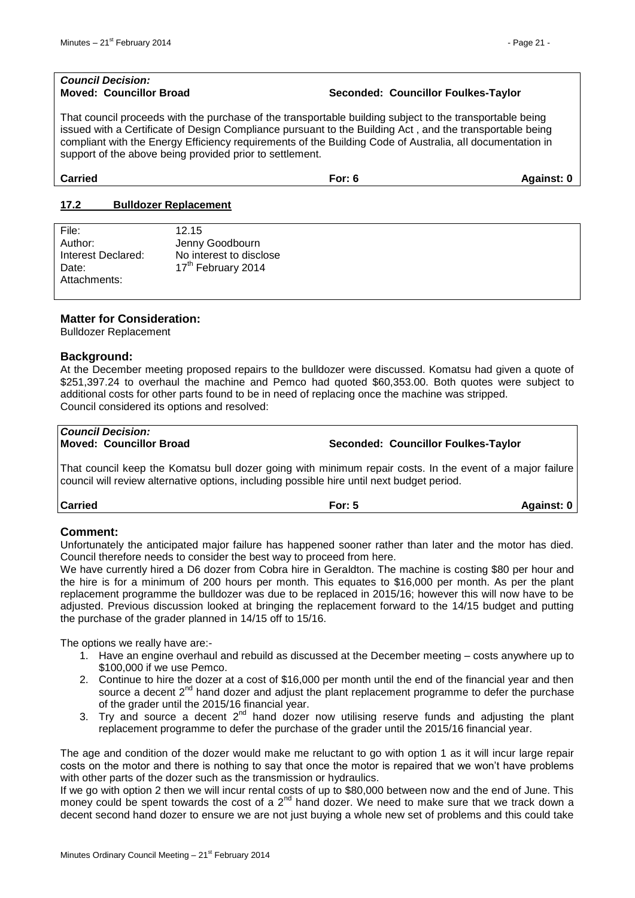#### *Council Decision:* **Moved: Councillor Broad Seconded: Councillor Foulkes-Taylor**

That council proceeds with the purchase of the transportable building subject to the transportable being issued with a Certificate of Design Compliance pursuant to the Building Act , and the transportable being compliant with the Energy Efficiency requirements of the Building Code of Australia, all documentation in support of the above being provided prior to settlement.

**Carried For: 6 Against: 0**

#### <span id="page-20-0"></span>**17.2 Bulldozer Replacement**

| File:              | 12.15                          |
|--------------------|--------------------------------|
| Author:            | Jenny Goodbourn                |
| Interest Declared: | No interest to disclose        |
| Date:              | 17 <sup>th</sup> February 2014 |
| Attachments:       |                                |
|                    |                                |

#### **Matter for Consideration:**

Bulldozer Replacement

#### **Background:**

At the December meeting proposed repairs to the bulldozer were discussed. Komatsu had given a quote of \$251,397.24 to overhaul the machine and Pemco had quoted \$60,353.00. Both quotes were subject to additional costs for other parts found to be in need of replacing once the machine was stripped. Council considered its options and resolved:

#### *Council Decision:* **Moved: Councillor Broad Seconded: Councillor Foulkes-Taylor**

That council keep the Komatsu bull dozer going with minimum repair costs. In the event of a major failure council will review alternative options, including possible hire until next budget period.

**Carried For: 5 Against: 0**

# **Comment:**

Unfortunately the anticipated major failure has happened sooner rather than later and the motor has died. Council therefore needs to consider the best way to proceed from here.

We have currently hired a D6 dozer from Cobra hire in Geraldton. The machine is costing \$80 per hour and the hire is for a minimum of 200 hours per month. This equates to \$16,000 per month. As per the plant replacement programme the bulldozer was due to be replaced in 2015/16; however this will now have to be adjusted. Previous discussion looked at bringing the replacement forward to the 14/15 budget and putting the purchase of the grader planned in 14/15 off to 15/16.

The options we really have are:-

- 1. Have an engine overhaul and rebuild as discussed at the December meeting costs anywhere up to \$100,000 if we use Pemco.
- 2. Continue to hire the dozer at a cost of \$16,000 per month until the end of the financial year and then source a decent  $2<sup>nd</sup>$  hand dozer and adjust the plant replacement programme to defer the purchase of the grader until the 2015/16 financial year.
- 3. Try and source a decent  $2^{nd}$  hand dozer now utilising reserve funds and adjusting the plant replacement programme to defer the purchase of the grader until the 2015/16 financial year.

The age and condition of the dozer would make me reluctant to go with option 1 as it will incur large repair costs on the motor and there is nothing to say that once the motor is repaired that we won't have problems with other parts of the dozer such as the transmission or hydraulics.

If we go with option 2 then we will incur rental costs of up to \$80,000 between now and the end of June. This money could be spent towards the cost of a  $2^{nd}$  hand dozer. We need to make sure that we track down a decent second hand dozer to ensure we are not just buying a whole new set of problems and this could take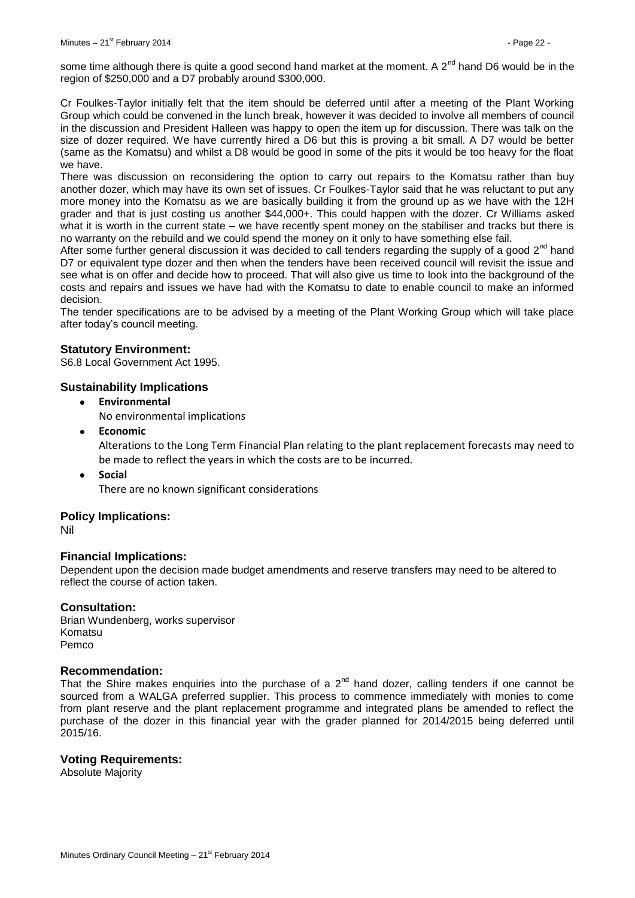some time although there is quite a good second hand market at the moment. A  $2^{nd}$  hand D6 would be in the region of \$250,000 and a D7 probably around \$300,000.

Cr Foulkes-Taylor initially felt that the item should be deferred until after a meeting of the Plant Working Group which could be convened in the lunch break, however it was decided to involve all members of council in the discussion and President Halleen was happy to open the item up for discussion. There was talk on the size of dozer required. We have currently hired a D6 but this is proving a bit small. A D7 would be better (same as the Komatsu) and whilst a D8 would be good in some of the pits it would be too heavy for the float we have.

There was discussion on reconsidering the option to carry out repairs to the Komatsu rather than buy another dozer, which may have its own set of issues. Cr Foulkes-Taylor said that he was reluctant to put any more money into the Komatsu as we are basically building it from the ground up as we have with the 12H grader and that is just costing us another \$44,000+. This could happen with the dozer. Cr Williams asked what it is worth in the current state – we have recently spent money on the stabiliser and tracks but there is no warranty on the rebuild and we could spend the money on it only to have something else fail.

After some further general discussion it was decided to call tenders regarding the supply of a good  $2^{nd}$  hand D7 or equivalent type dozer and then when the tenders have been received council will revisit the issue and see what is on offer and decide how to proceed. That will also give us time to look into the background of the costs and repairs and issues we have had with the Komatsu to date to enable council to make an informed decision.

The tender specifications are to be advised by a meeting of the Plant Working Group which will take place after today's council meeting.

## **Statutory Environment:**

S6.8 Local Government Act 1995.

#### **Sustainability Implications**

- **Environmental**  $\bullet$ No environmental implications  $\bullet$ 
	- **Economic** Alterations to the Long Term Financial Plan relating to the plant replacement forecasts may need to be made to reflect the years in which the costs are to be incurred.
- **Social**  $\bullet$ There are no known significant considerations

# **Policy Implications:**

Nil

#### **Financial Implications:**

Dependent upon the decision made budget amendments and reserve transfers may need to be altered to reflect the course of action taken.

#### **Consultation:**

Brian Wundenberg, works supervisor Komatsu Pemco

#### **Recommendation:**

That the Shire makes enquiries into the purchase of a  $2^{nd}$  hand dozer, calling tenders if one cannot be sourced from a WALGA preferred supplier. This process to commence immediately with monies to come from plant reserve and the plant replacement programme and integrated plans be amended to reflect the purchase of the dozer in this financial year with the grader planned for 2014/2015 being deferred until 2015/16.

#### **Voting Requirements:**

Absolute Majority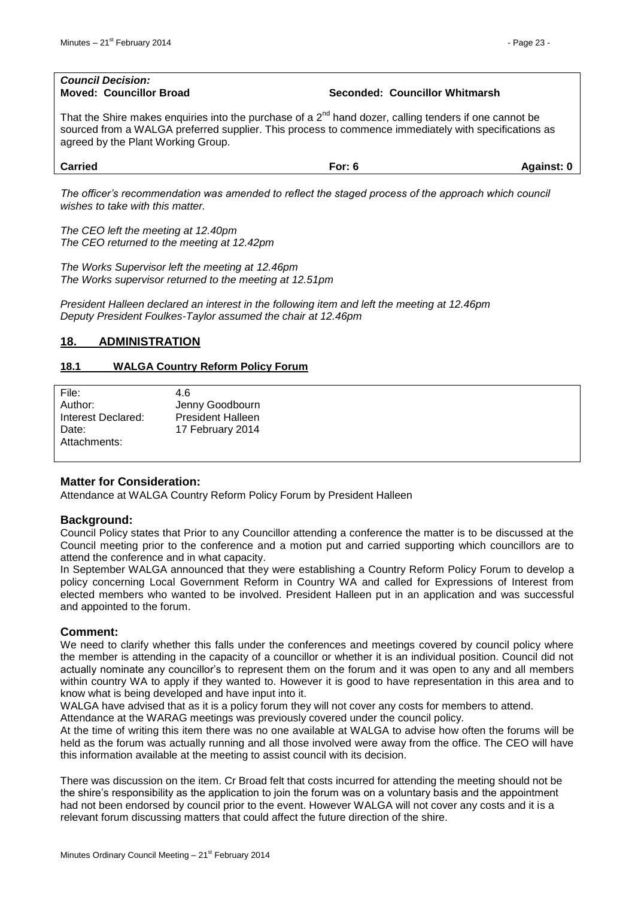# *Council Decision:*

#### **Moved: Councillor Broad Seconded: Councillor Whitmarsh**

That the Shire makes enquiries into the purchase of a 2<sup>nd</sup> hand dozer, calling tenders if one cannot be sourced from a WALGA preferred supplier. This process to commence immediately with specifications as agreed by the Plant Working Group.

| <b>Carried</b> | For: | ∖αainst:<br>-- |
|----------------|------|----------------|
|                |      |                |

*The officer's recommendation was amended to reflect the staged process of the approach which council wishes to take with this matter.*

*The CEO left the meeting at 12.40pm The CEO returned to the meeting at 12.42pm*

*The Works Supervisor left the meeting at 12.46pm The Works supervisor returned to the meeting at 12.51pm*

*President Halleen declared an interest in the following item and left the meeting at 12.46pm Deputy President Foulkes-Taylor assumed the chair at 12.46pm*

# <span id="page-22-0"></span>**18. ADMINISTRATION**

#### <span id="page-22-1"></span>**18.1 WALGA Country Reform Policy Forum**

| File:              | 4.6                      |
|--------------------|--------------------------|
| Author:            | Jenny Goodbourn          |
| Interest Declared: | <b>President Halleen</b> |
| Date:              | 17 February 2014         |
| Attachments:       |                          |

#### **Matter for Consideration:**

Attendance at WALGA Country Reform Policy Forum by President Halleen

#### **Background:**

Council Policy states that Prior to any Councillor attending a conference the matter is to be discussed at the Council meeting prior to the conference and a motion put and carried supporting which councillors are to attend the conference and in what capacity.

In September WALGA announced that they were establishing a Country Reform Policy Forum to develop a policy concerning Local Government Reform in Country WA and called for Expressions of Interest from elected members who wanted to be involved. President Halleen put in an application and was successful and appointed to the forum.

#### **Comment:**

We need to clarify whether this falls under the conferences and meetings covered by council policy where the member is attending in the capacity of a councillor or whether it is an individual position. Council did not actually nominate any councillor's to represent them on the forum and it was open to any and all members within country WA to apply if they wanted to. However it is good to have representation in this area and to know what is being developed and have input into it.

WALGA have advised that as it is a policy forum they will not cover any costs for members to attend.

Attendance at the WARAG meetings was previously covered under the council policy.

At the time of writing this item there was no one available at WALGA to advise how often the forums will be held as the forum was actually running and all those involved were away from the office. The CEO will have this information available at the meeting to assist council with its decision.

There was discussion on the item. Cr Broad felt that costs incurred for attending the meeting should not be the shire's responsibility as the application to join the forum was on a voluntary basis and the appointment had not been endorsed by council prior to the event. However WALGA will not cover any costs and it is a relevant forum discussing matters that could affect the future direction of the shire.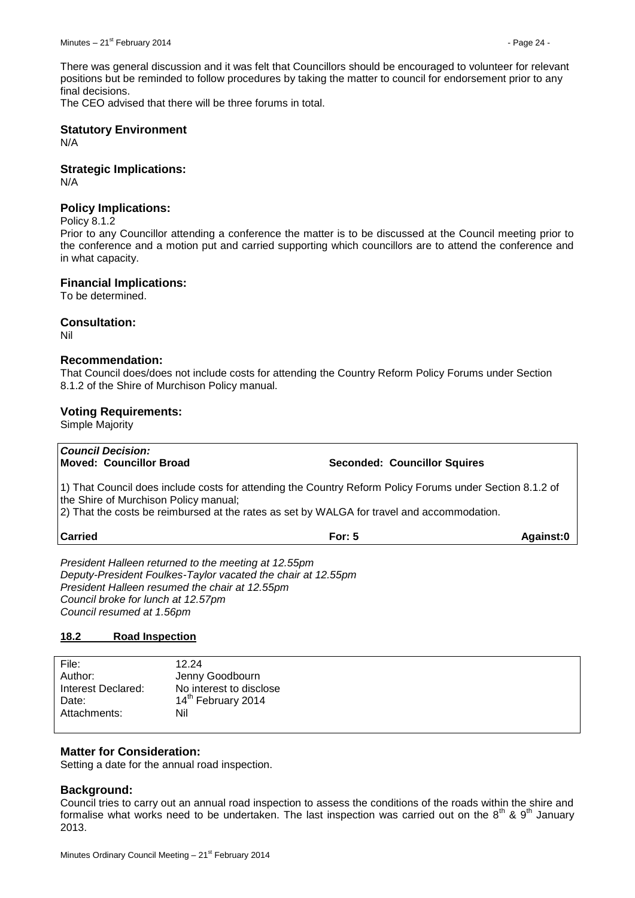There was general discussion and it was felt that Councillors should be encouraged to volunteer for relevant positions but be reminded to follow procedures by taking the matter to council for endorsement prior to any final decisions.

The CEO advised that there will be three forums in total.

# **Statutory Environment**

N/A

# **Strategic Implications:**

N/A

# **Policy Implications:**

Policy 8.1.2

Prior to any Councillor attending a conference the matter is to be discussed at the Council meeting prior to the conference and a motion put and carried supporting which councillors are to attend the conference and in what capacity.

## **Financial Implications:**

To be determined.

## **Consultation:**

Nil

## **Recommendation:**

That Council does/does not include costs for attending the Country Reform Policy Forums under Section 8.1.2 of the Shire of Murchison Policy manual.

## **Voting Requirements:**

Simple Majority

| Council Decision:                                                                                                                                                                                                                               |                                     |           |  |
|-------------------------------------------------------------------------------------------------------------------------------------------------------------------------------------------------------------------------------------------------|-------------------------------------|-----------|--|
| <b>Moved: Councillor Broad</b>                                                                                                                                                                                                                  | <b>Seconded: Councillor Squires</b> |           |  |
| 1) That Council does include costs for attending the Country Reform Policy Forums under Section 8.1.2 of<br>the Shire of Murchison Policy manual;<br>2) That the costs be reimbursed at the rates as set by WALGA for travel and accommodation. |                                     |           |  |
| <b>Carried</b>                                                                                                                                                                                                                                  | For: $5$                            | Against:0 |  |
| President Halleen returned to the meeting at 12.55pm                                                                                                                                                                                            |                                     |           |  |

*Deputy-President Foulkes-Taylor vacated the chair at 12.55pm President Halleen resumed the chair at 12.55pm Council broke for lunch at 12.57pm Council resumed at 1.56pm*

#### <span id="page-23-0"></span>**18.2 Road Inspection**

| File:              | 12.24                          |
|--------------------|--------------------------------|
| Author:            | Jenny Goodbourn                |
| Interest Declared: | No interest to disclose        |
| Date:              | 14 <sup>th</sup> February 2014 |
| Attachments:       | Nil                            |
|                    |                                |

# **Matter for Consideration:**

Setting a date for the annual road inspection.

# **Background:**

Council tries to carry out an annual road inspection to assess the conditions of the roads within the shire and formalise what works need to be undertaken. The last inspection was carried out on the  $8<sup>th</sup>$  &  $9<sup>th</sup>$  January 2013.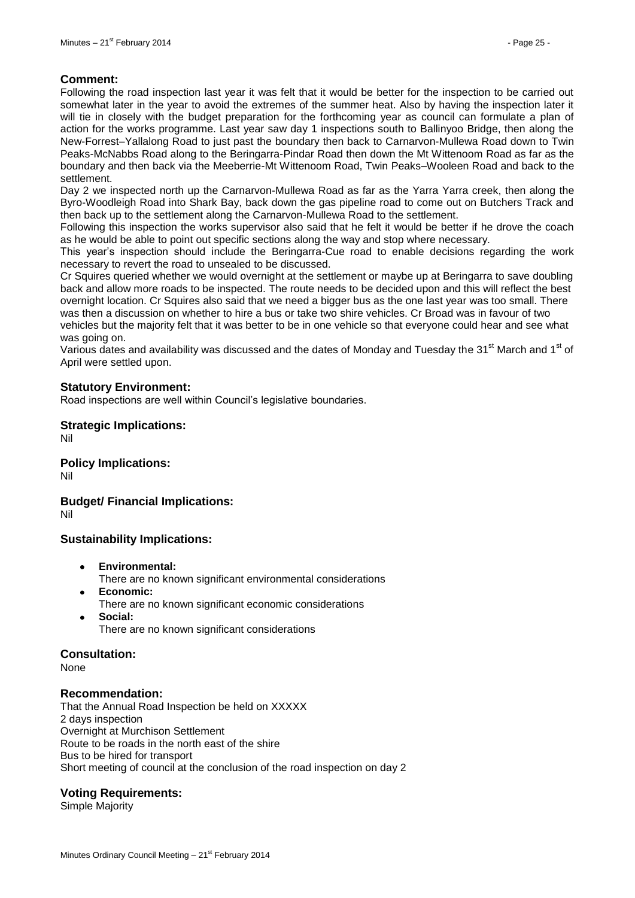# **Comment:**

Following the road inspection last year it was felt that it would be better for the inspection to be carried out somewhat later in the year to avoid the extremes of the summer heat. Also by having the inspection later it will tie in closely with the budget preparation for the forthcoming year as council can formulate a plan of action for the works programme. Last year saw day 1 inspections south to Ballinyoo Bridge, then along the New-Forrest–Yallalong Road to just past the boundary then back to Carnarvon-Mullewa Road down to Twin Peaks-McNabbs Road along to the Beringarra-Pindar Road then down the Mt Wittenoom Road as far as the boundary and then back via the Meeberrie-Mt Wittenoom Road, Twin Peaks–Wooleen Road and back to the settlement.

Day 2 we inspected north up the Carnarvon-Mullewa Road as far as the Yarra Yarra creek, then along the Byro-Woodleigh Road into Shark Bay, back down the gas pipeline road to come out on Butchers Track and then back up to the settlement along the Carnarvon-Mullewa Road to the settlement.

Following this inspection the works supervisor also said that he felt it would be better if he drove the coach as he would be able to point out specific sections along the way and stop where necessary.

This year's inspection should include the Beringarra-Cue road to enable decisions regarding the work necessary to revert the road to unsealed to be discussed.

Cr Squires queried whether we would overnight at the settlement or maybe up at Beringarra to save doubling back and allow more roads to be inspected. The route needs to be decided upon and this will reflect the best overnight location. Cr Squires also said that we need a bigger bus as the one last year was too small. There was then a discussion on whether to hire a bus or take two shire vehicles. Cr Broad was in favour of two vehicles but the majority felt that it was better to be in one vehicle so that everyone could hear and see what was going on.

Various dates and availability was discussed and the dates of Monday and Tuesday the 31<sup>st</sup> March and 1<sup>st</sup> of April were settled upon.

# **Statutory Environment:**

Road inspections are well within Council's legislative boundaries.

## **Strategic Implications:**

Nil

# **Policy Implications:**

Nil

# **Budget/ Financial Implications:**

Nil

# **Sustainability Implications:**

- **Environmental:**
- There are no known significant environmental considerations **Economic:**
- There are no known significant economic considerations
- **Social:** There are no known significant considerations

# **Consultation:**

None

#### **Recommendation:**

That the Annual Road Inspection be held on XXXXX 2 days inspection Overnight at Murchison Settlement Route to be roads in the north east of the shire Bus to be hired for transport Short meeting of council at the conclusion of the road inspection on day 2

#### **Voting Requirements:**

Simple Majority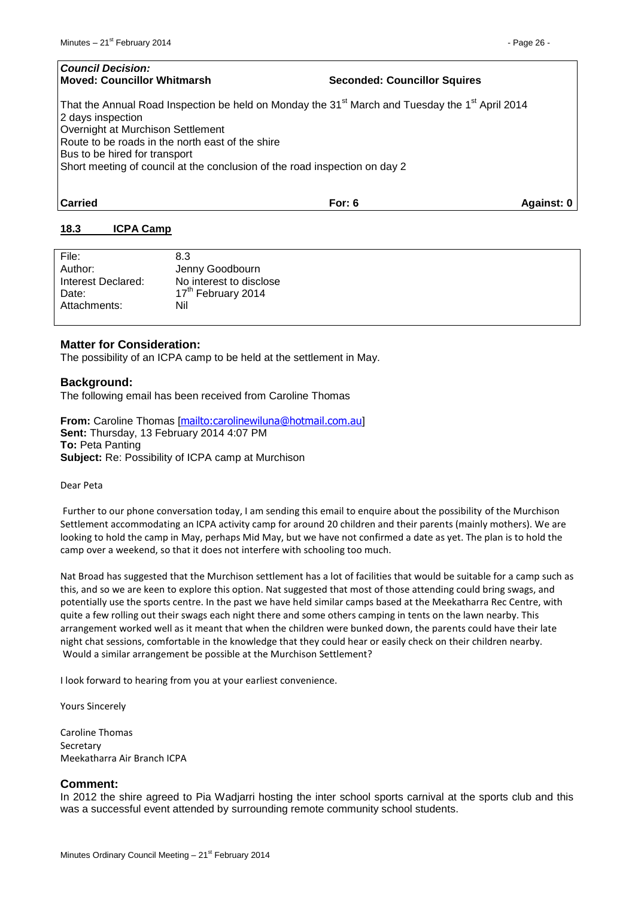#### *Council Decision:* **Moved: Councillor Whitmarsh Seconded: Councillor Squires**

That the Annual Road Inspection be held on Monday the 31<sup>st</sup> March and Tuesday the 1<sup>st</sup> April 2014 2 days inspection Overnight at Murchison Settlement Route to be roads in the north east of the shire Bus to be hired for transport Short meeting of council at the conclusion of the road inspection on day 2

**Carried For: 6 Against: 0**

#### <span id="page-25-0"></span>**18.3 ICPA Camp**

| File:              | 8.3                     |
|--------------------|-------------------------|
| Author:            | Jenny Goodbourn         |
| Interest Declared: | No interest to disclose |
| Date:              | 17th February 2014      |
| Attachments:       | Nil                     |
|                    |                         |

#### **Matter for Consideration:**

The possibility of an ICPA camp to be held at the settlement in May.

#### **Background:**

The following email has been received from Caroline Thomas

**From:** Caroline Thomas [<mailto:carolinewiluna@hotmail.com.au>] **Sent:** Thursday, 13 February 2014 4:07 PM **To:** Peta Panting **Subject:** Re: Possibility of ICPA camp at Murchison

Dear Peta

Further to our phone conversation today, I am sending this email to enquire about the possibility of the Murchison Settlement accommodating an ICPA activity camp for around 20 children and their parents (mainly mothers). We are looking to hold the camp in May, perhaps Mid May, but we have not confirmed a date as yet. The plan is to hold the camp over a weekend, so that it does not interfere with schooling too much.

Nat Broad has suggested that the Murchison settlement has a lot of facilities that would be suitable for a camp such as this, and so we are keen to explore this option. Nat suggested that most of those attending could bring swags, and potentially use the sports centre. In the past we have held similar camps based at the Meekatharra Rec Centre, with quite a few rolling out their swags each night there and some others camping in tents on the lawn nearby. This arrangement worked well as it meant that when the children were bunked down, the parents could have their late night chat sessions, comfortable in the knowledge that they could hear or easily check on their children nearby. Would a similar arrangement be possible at the Murchison Settlement?

I look forward to hearing from you at your earliest convenience.

Yours Sincerely

Caroline Thomas **Secretary** Meekatharra Air Branch ICPA

#### **Comment:**

In 2012 the shire agreed to Pia Wadjarri hosting the inter school sports carnival at the sports club and this was a successful event attended by surrounding remote community school students.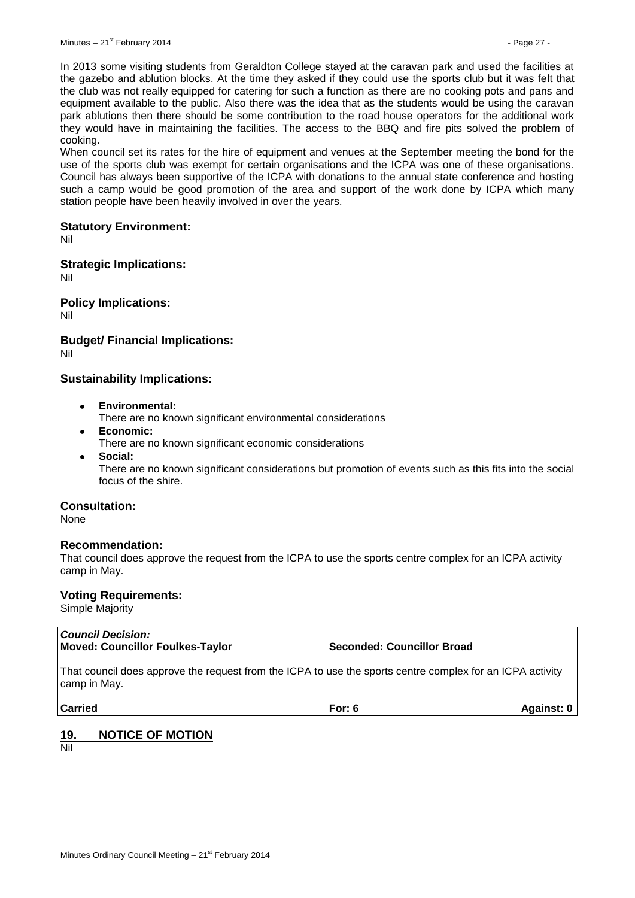In 2013 some visiting students from Geraldton College stayed at the caravan park and used the facilities at the gazebo and ablution blocks. At the time they asked if they could use the sports club but it was felt that the club was not really equipped for catering for such a function as there are no cooking pots and pans and equipment available to the public. Also there was the idea that as the students would be using the caravan park ablutions then there should be some contribution to the road house operators for the additional work they would have in maintaining the facilities. The access to the BBQ and fire pits solved the problem of cooking.

When council set its rates for the hire of equipment and venues at the September meeting the bond for the use of the sports club was exempt for certain organisations and the ICPA was one of these organisations. Council has always been supportive of the ICPA with donations to the annual state conference and hosting such a camp would be good promotion of the area and support of the work done by ICPA which many station people have been heavily involved in over the years.

#### **Statutory Environment:**

Nil

#### **Strategic Implications:** Nil

**Policy Implications:** Nil

# **Budget/ Financial Implications:**

Nil

# **Sustainability Implications:**

- **Environmental:**
	- There are no known significant environmental considerations
- $\bullet$ **Economic:** There are no known significant economic considerations
- **Social:**  $\bullet$

There are no known significant considerations but promotion of events such as this fits into the social focus of the shire.

#### **Consultation:**

None

#### **Recommendation:**

That council does approve the request from the ICPA to use the sports centre complex for an ICPA activity camp in May.

# **Voting Requirements:**

Simple Majority

| Council Decision:<br><b>Moved: Councillor Foulkes-Taylor</b>                                                              | <b>Seconded: Councillor Broad</b> |  |
|---------------------------------------------------------------------------------------------------------------------------|-----------------------------------|--|
| That council does approve the request from the ICPA to use the sports centre complex for an ICPA activity<br>camp in May. |                                   |  |

**Carried For: 6 Against: 0**

# <span id="page-26-0"></span>**19. NOTICE OF MOTION**

Nil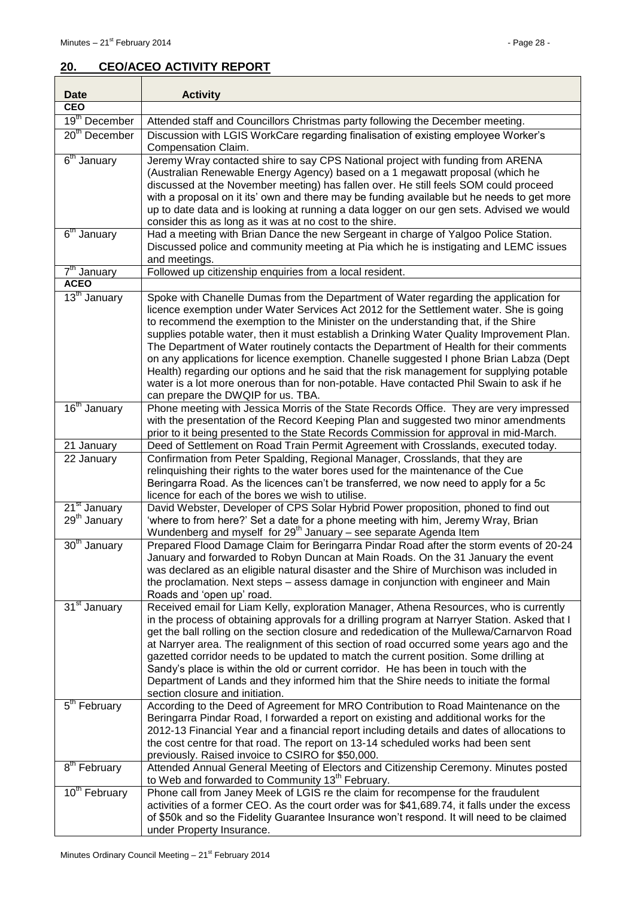$\overline{1}$ 

# <span id="page-27-0"></span>**20. CEO/ACEO ACTIVITY REPORT**

| <b>Date</b>                                          | <b>Activity</b>                                                                                                                                                                                                                                                                                                                                                                                                                                                                                                                                                                                                                                                                                                                                                                      |
|------------------------------------------------------|--------------------------------------------------------------------------------------------------------------------------------------------------------------------------------------------------------------------------------------------------------------------------------------------------------------------------------------------------------------------------------------------------------------------------------------------------------------------------------------------------------------------------------------------------------------------------------------------------------------------------------------------------------------------------------------------------------------------------------------------------------------------------------------|
| <b>CEO</b>                                           |                                                                                                                                                                                                                                                                                                                                                                                                                                                                                                                                                                                                                                                                                                                                                                                      |
| 19 <sup>th</sup> December                            | Attended staff and Councillors Christmas party following the December meeting.                                                                                                                                                                                                                                                                                                                                                                                                                                                                                                                                                                                                                                                                                                       |
| 20 <sup>th</sup> December                            | Discussion with LGIS WorkCare regarding finalisation of existing employee Worker's<br>Compensation Claim.                                                                                                                                                                                                                                                                                                                                                                                                                                                                                                                                                                                                                                                                            |
| 6 <sup>th</sup> January                              | Jeremy Wray contacted shire to say CPS National project with funding from ARENA<br>(Australian Renewable Energy Agency) based on a 1 megawatt proposal (which he<br>discussed at the November meeting) has fallen over. He still feels SOM could proceed<br>with a proposal on it its' own and there may be funding available but he needs to get more<br>up to date data and is looking at running a data logger on our gen sets. Advised we would<br>consider this as long as it was at no cost to the shire.                                                                                                                                                                                                                                                                      |
| 6 <sup>th</sup> January                              | Had a meeting with Brian Dance the new Sergeant in charge of Yalgoo Police Station.<br>Discussed police and community meeting at Pia which he is instigating and LEMC issues<br>and meetings.                                                                                                                                                                                                                                                                                                                                                                                                                                                                                                                                                                                        |
| 7 <sup>th</sup> January                              | Followed up citizenship enquiries from a local resident.                                                                                                                                                                                                                                                                                                                                                                                                                                                                                                                                                                                                                                                                                                                             |
| <b>ACEO</b>                                          |                                                                                                                                                                                                                                                                                                                                                                                                                                                                                                                                                                                                                                                                                                                                                                                      |
| 13 <sup>th</sup> January                             | Spoke with Chanelle Dumas from the Department of Water regarding the application for<br>licence exemption under Water Services Act 2012 for the Settlement water. She is going<br>to recommend the exemption to the Minister on the understanding that, if the Shire<br>supplies potable water, then it must establish a Drinking Water Quality Improvement Plan.<br>The Department of Water routinely contacts the Department of Health for their comments<br>on any applications for licence exemption. Chanelle suggested I phone Brian Labza (Dept<br>Health) regarding our options and he said that the risk management for supplying potable<br>water is a lot more onerous than for non-potable. Have contacted Phil Swain to ask if he<br>can prepare the DWQIP for us. TBA. |
| 16 <sup>th</sup> January                             | Phone meeting with Jessica Morris of the State Records Office. They are very impressed<br>with the presentation of the Record Keeping Plan and suggested two minor amendments<br>prior to it being presented to the State Records Commission for approval in mid-March.                                                                                                                                                                                                                                                                                                                                                                                                                                                                                                              |
| 21 January                                           | Deed of Settlement on Road Train Permit Agreement with Crosslands, executed today.                                                                                                                                                                                                                                                                                                                                                                                                                                                                                                                                                                                                                                                                                                   |
| 22 January                                           | Confirmation from Peter Spalding, Regional Manager, Crosslands, that they are<br>relinquishing their rights to the water bores used for the maintenance of the Cue<br>Beringarra Road. As the licences can't be transferred, we now need to apply for a 5c<br>licence for each of the bores we wish to utilise.                                                                                                                                                                                                                                                                                                                                                                                                                                                                      |
| 21 <sup>st</sup> January<br>29 <sup>th</sup> January | David Webster, Developer of CPS Solar Hybrid Power proposition, phoned to find out<br>'where to from here?' Set a date for a phone meeting with him, Jeremy Wray, Brian<br>Wundenberg and myself for 29 <sup>th</sup> January - see separate Agenda Item                                                                                                                                                                                                                                                                                                                                                                                                                                                                                                                             |
| 30 <sup>th</sup> January                             | Prepared Flood Damage Claim for Beringarra Pindar Road after the storm events of 20-24<br>January and forwarded to Robyn Duncan at Main Roads. On the 31 January the event<br>was declared as an eligible natural disaster and the Shire of Murchison was included in<br>the proclamation. Next steps - assess damage in conjunction with engineer and Main<br>Roads and 'open up' road.                                                                                                                                                                                                                                                                                                                                                                                             |
| 31 <sup>st</sup> January                             | Received email for Liam Kelly, exploration Manager, Athena Resources, who is currently<br>in the process of obtaining approvals for a drilling program at Narryer Station. Asked that I<br>get the ball rolling on the section closure and rededication of the Mullewa/Carnarvon Road<br>at Narryer area. The realignment of this section of road occurred some years ago and the<br>gazetted corridor needs to be updated to match the current position. Some drilling at<br>Sandy's place is within the old or current corridor. He has been in touch with the<br>Department of Lands and they informed him that the Shire needs to initiate the formal<br>section closure and initiation.                                                                                         |
| $\overline{5}^{\text{th}}$ February                  | According to the Deed of Agreement for MRO Contribution to Road Maintenance on the<br>Beringarra Pindar Road, I forwarded a report on existing and additional works for the<br>2012-13 Financial Year and a financial report including details and dates of allocations to<br>the cost centre for that road. The report on 13-14 scheduled works had been sent<br>previously. Raised invoice to CSIRO for \$50,000.                                                                                                                                                                                                                                                                                                                                                                  |
| 8 <sup>th</sup> February                             | Attended Annual General Meeting of Electors and Citizenship Ceremony. Minutes posted<br>to Web and forwarded to Community 13 <sup>th</sup> February.                                                                                                                                                                                                                                                                                                                                                                                                                                                                                                                                                                                                                                 |
| 10 <sup>th</sup> February                            | Phone call from Janey Meek of LGIS re the claim for recompense for the fraudulent<br>activities of a former CEO. As the court order was for \$41,689.74, it falls under the excess<br>of \$50k and so the Fidelity Guarantee Insurance won't respond. It will need to be claimed<br>under Property Insurance.                                                                                                                                                                                                                                                                                                                                                                                                                                                                        |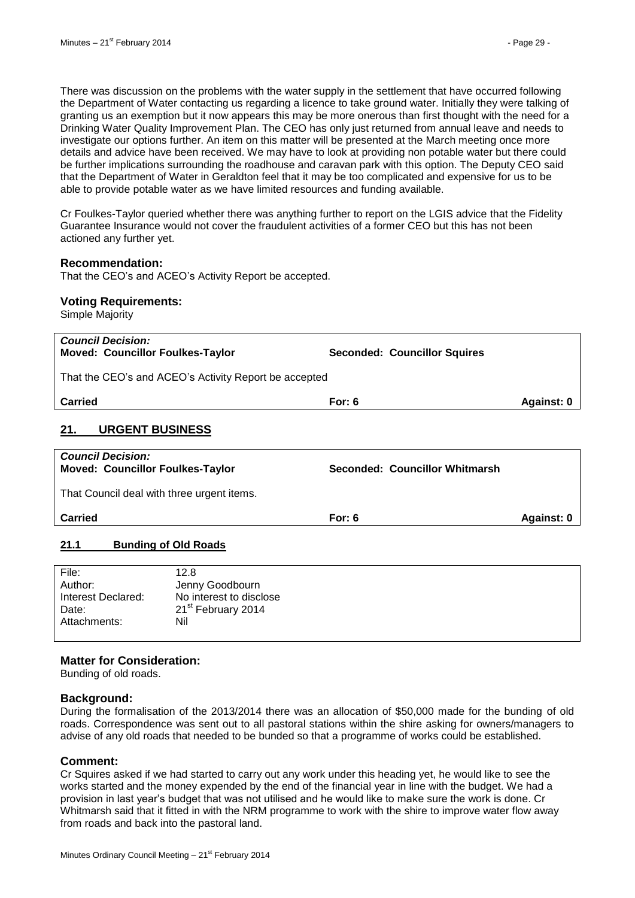There was discussion on the problems with the water supply in the settlement that have occurred following the Department of Water contacting us regarding a licence to take ground water. Initially they were talking of granting us an exemption but it now appears this may be more onerous than first thought with the need for a Drinking Water Quality Improvement Plan. The CEO has only just returned from annual leave and needs to investigate our options further. An item on this matter will be presented at the March meeting once more details and advice have been received. We may have to look at providing non potable water but there could be further implications surrounding the roadhouse and caravan park with this option. The Deputy CEO said that the Department of Water in Geraldton feel that it may be too complicated and expensive for us to be able to provide potable water as we have limited resources and funding available.

Cr Foulkes-Taylor queried whether there was anything further to report on the LGIS advice that the Fidelity Guarantee Insurance would not cover the fraudulent activities of a former CEO but this has not been actioned any further yet.

#### **Recommendation:**

That the CEO's and ACEO's Activity Report be accepted.

#### **Voting Requirements:**

Simple Majority

<span id="page-28-0"></span>

| <b>Council Decision:</b><br><b>Moved: Councillor Foulkes-Taylor</b> | <b>Seconded: Councillor Squires</b> |            |
|---------------------------------------------------------------------|-------------------------------------|------------|
| That the CEO's and ACEO's Activity Report be accepted               |                                     |            |
| Carried                                                             | For: $6$                            | Against: 0 |
| <b>URGENT BUSINESS</b><br>21.                                       |                                     |            |
| <b>Council Decision:</b><br><b>Moved: Councillor Foulkes-Taylor</b> | Seconded: Councillor Whitmarsh      |            |
| That Council deal with three urgent items.                          |                                     |            |
| <b>Carried</b>                                                      | For: $6$                            | Against: 0 |
| 21.1<br><b>Bunding of Old Roads</b>                                 |                                     |            |
|                                                                     |                                     |            |

<span id="page-28-1"></span>

| File:              | 12 R                           |
|--------------------|--------------------------------|
| Author:            | Jenny Goodbourn                |
| Interest Declared: | No interest to disclose        |
| Date:              | 21 <sup>st</sup> February 2014 |
| Attachments:       | Nil                            |
|                    |                                |

#### **Matter for Consideration:**

Bunding of old roads.

#### **Background:**

During the formalisation of the 2013/2014 there was an allocation of \$50,000 made for the bunding of old roads. Correspondence was sent out to all pastoral stations within the shire asking for owners/managers to advise of any old roads that needed to be bunded so that a programme of works could be established.

#### **Comment:**

Cr Squires asked if we had started to carry out any work under this heading yet, he would like to see the works started and the money expended by the end of the financial year in line with the budget. We had a provision in last year's budget that was not utilised and he would like to make sure the work is done. Cr Whitmarsh said that it fitted in with the NRM programme to work with the shire to improve water flow away from roads and back into the pastoral land.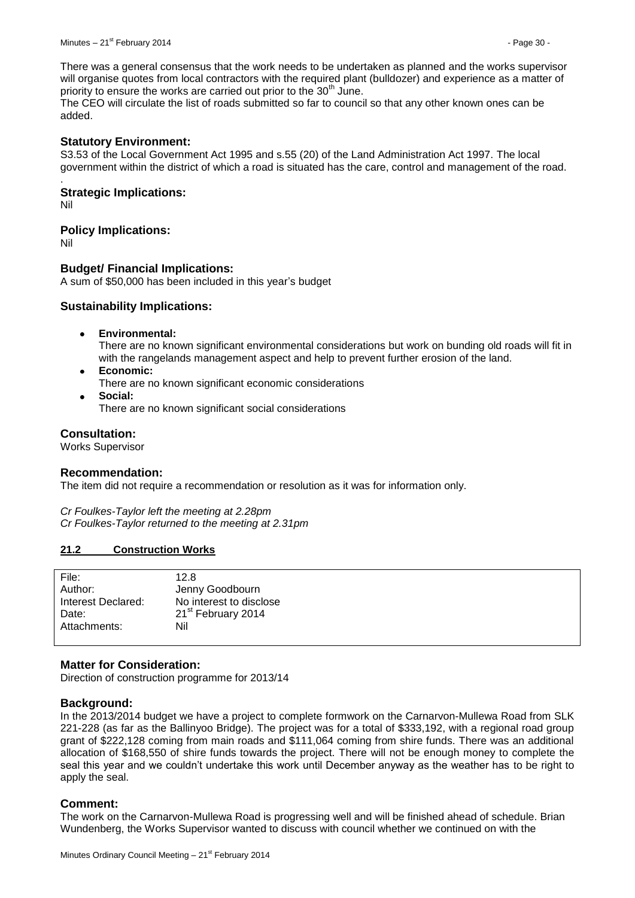There was a general consensus that the work needs to be undertaken as planned and the works supervisor will organise quotes from local contractors with the required plant (bulldozer) and experience as a matter of priority to ensure the works are carried out prior to the 30<sup>th</sup> June.

The CEO will circulate the list of roads submitted so far to council so that any other known ones can be added.

## **Statutory Environment:**

S3.53 of the Local Government Act 1995 and s.55 (20) of the Land Administration Act 1997. The local government within the district of which a road is situated has the care, control and management of the road.

#### **Strategic Implications:**

Nil

.

### **Policy Implications:**

Nil

## **Budget/ Financial Implications:**

A sum of \$50,000 has been included in this year's budget

#### **Sustainability Implications:**

**Environmental:**

There are no known significant environmental considerations but work on bunding old roads will fit in with the rangelands management aspect and help to prevent further erosion of the land.

- $\bullet$ **Economic:** There are no known significant economic considerations
- **Social:**  $\blacktriangle$ There are no known significant social considerations

#### **Consultation:**

Works Supervisor

#### **Recommendation:**

The item did not require a recommendation or resolution as it was for information only.

*Cr Foulkes-Taylor left the meeting at 2.28pm Cr Foulkes-Taylor returned to the meeting at 2.31pm*

#### <span id="page-29-0"></span>**21.2 Construction Works**

| File:              | 12.8                           |
|--------------------|--------------------------------|
| Author:            | Jenny Goodbourn                |
| Interest Declared: | No interest to disclose        |
| Date:              | 21 <sup>st</sup> February 2014 |
| Attachments:       | Nil                            |
|                    |                                |

#### **Matter for Consideration:**

Direction of construction programme for 2013/14

#### **Background:**

In the 2013/2014 budget we have a project to complete formwork on the Carnarvon-Mullewa Road from SLK 221-228 (as far as the Ballinyoo Bridge). The project was for a total of \$333,192, with a regional road group grant of \$222,128 coming from main roads and \$111,064 coming from shire funds. There was an additional allocation of \$168,550 of shire funds towards the project. There will not be enough money to complete the seal this year and we couldn't undertake this work until December anyway as the weather has to be right to apply the seal.

#### **Comment:**

The work on the Carnarvon-Mullewa Road is progressing well and will be finished ahead of schedule. Brian Wundenberg, the Works Supervisor wanted to discuss with council whether we continued on with the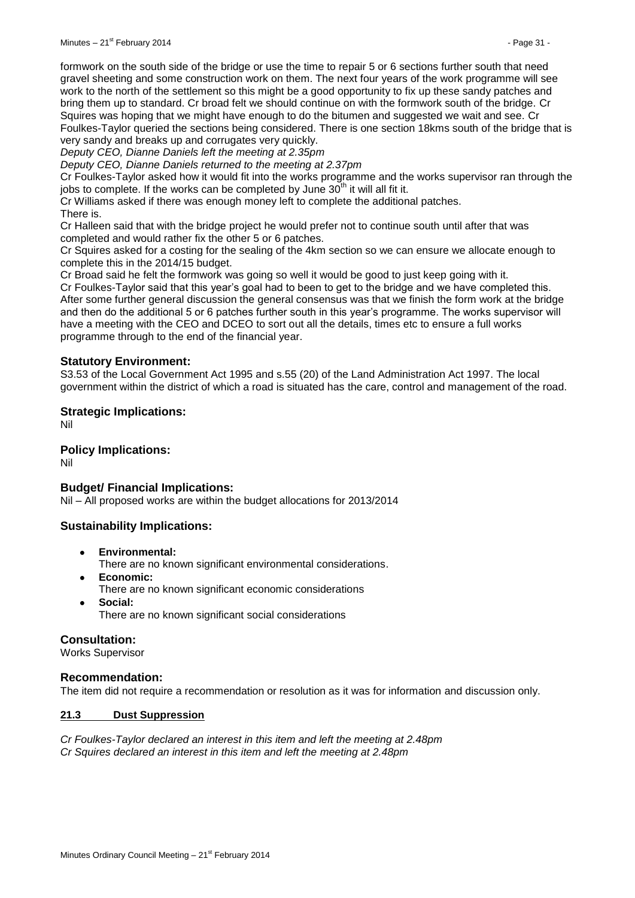formwork on the south side of the bridge or use the time to repair 5 or 6 sections further south that need gravel sheeting and some construction work on them. The next four years of the work programme will see work to the north of the settlement so this might be a good opportunity to fix up these sandy patches and bring them up to standard. Cr broad felt we should continue on with the formwork south of the bridge. Cr Squires was hoping that we might have enough to do the bitumen and suggested we wait and see. Cr Foulkes-Taylor queried the sections being considered. There is one section 18kms south of the bridge that is very sandy and breaks up and corrugates very quickly.

*Deputy CEO, Dianne Daniels left the meeting at 2.35pm*

*Deputy CEO, Dianne Daniels returned to the meeting at 2.37pm*

Cr Foulkes-Taylor asked how it would fit into the works programme and the works supervisor ran through the jobs to complete. If the works can be completed by June  $30<sup>th</sup>$  it will all fit it.

Cr Williams asked if there was enough money left to complete the additional patches.

There is.

Cr Halleen said that with the bridge project he would prefer not to continue south until after that was completed and would rather fix the other 5 or 6 patches.

Cr Squires asked for a costing for the sealing of the 4km section so we can ensure we allocate enough to complete this in the 2014/15 budget.

Cr Broad said he felt the formwork was going so well it would be good to just keep going with it.

Cr Foulkes-Taylor said that this year's goal had to been to get to the bridge and we have completed this. After some further general discussion the general consensus was that we finish the form work at the bridge and then do the additional 5 or 6 patches further south in this year's programme. The works supervisor will have a meeting with the CEO and DCEO to sort out all the details, times etc to ensure a full works programme through to the end of the financial year.

## **Statutory Environment:**

S3.53 of the Local Government Act 1995 and s.55 (20) of the Land Administration Act 1997. The local government within the district of which a road is situated has the care, control and management of the road.

#### **Strategic Implications:**

Nil

# **Policy Implications:**

Nil

#### **Budget/ Financial Implications:**

Nil – All proposed works are within the budget allocations for 2013/2014

#### **Sustainability Implications:**

- **Environmental:**  $\bullet$ There are no known significant environmental considerations.
- **Economic:** There are no known significant economic considerations
- **Social:** There are no known significant social considerations

#### **Consultation:**

Works Supervisor

#### **Recommendation:**

The item did not require a recommendation or resolution as it was for information and discussion only.

#### <span id="page-30-0"></span>**21.3 Dust Suppression**

*Cr Foulkes-Taylor declared an interest in this item and left the meeting at 2.48pm Cr Squires declared an interest in this item and left the meeting at 2.48pm*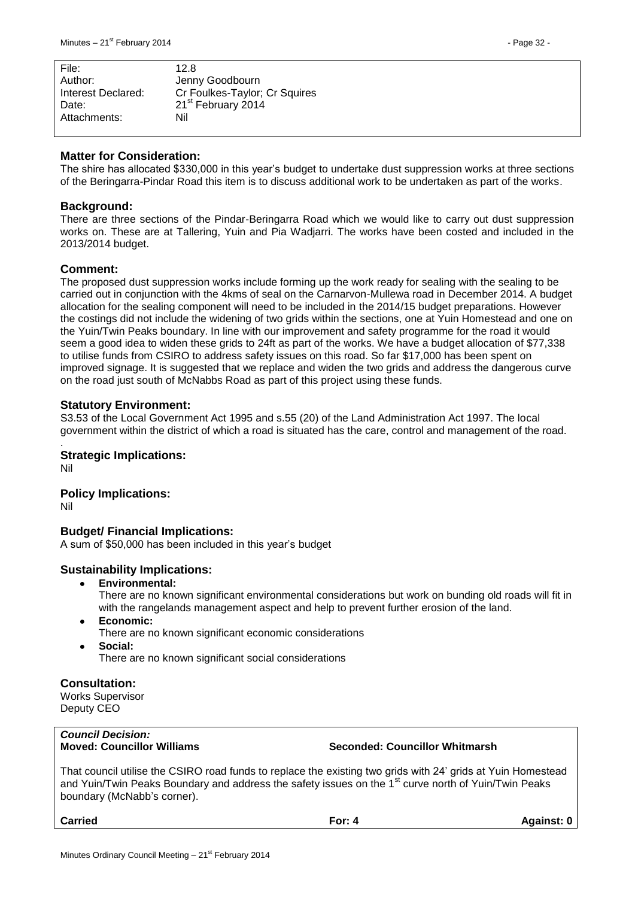| File:              | 12.8                           |
|--------------------|--------------------------------|
| Author:            | Jenny Goodbourn                |
| Interest Declared: | Cr Foulkes-Taylor; Cr Squires  |
| Date:              | 21 <sup>st</sup> February 2014 |
| Attachments:       | Nil                            |
|                    |                                |

#### **Matter for Consideration:**

The shire has allocated \$330,000 in this year's budget to undertake dust suppression works at three sections of the Beringarra-Pindar Road this item is to discuss additional work to be undertaken as part of the works.

#### **Background:**

There are three sections of the Pindar-Beringarra Road which we would like to carry out dust suppression works on. These are at Tallering, Yuin and Pia Wadjarri. The works have been costed and included in the 2013/2014 budget.

## **Comment:**

The proposed dust suppression works include forming up the work ready for sealing with the sealing to be carried out in conjunction with the 4kms of seal on the Carnarvon-Mullewa road in December 2014. A budget allocation for the sealing component will need to be included in the 2014/15 budget preparations. However the costings did not include the widening of two grids within the sections, one at Yuin Homestead and one on the Yuin/Twin Peaks boundary. In line with our improvement and safety programme for the road it would seem a good idea to widen these grids to 24ft as part of the works. We have a budget allocation of \$77,338 to utilise funds from CSIRO to address safety issues on this road. So far \$17,000 has been spent on improved signage. It is suggested that we replace and widen the two grids and address the dangerous curve on the road just south of McNabbs Road as part of this project using these funds.

## **Statutory Environment:**

S3.53 of the Local Government Act 1995 and s.55 (20) of the Land Administration Act 1997. The local government within the district of which a road is situated has the care, control and management of the road.

**Strategic Implications:** Nil

**Policy Implications:**

Nil

.

# **Budget/ Financial Implications:**

A sum of \$50,000 has been included in this year's budget

#### **Sustainability Implications:**

- **Environmental:** There are no known significant environmental considerations but work on bunding old roads will fit in with the rangelands management aspect and help to prevent further erosion of the land.
- **Economic:** There are no known significant economic considerations
- **Social:**

There are no known significant social considerations

# **Consultation:**

Works Supervisor Deputy CEO

# *Council Decision:*

**Moved: Councillor Williams Seconded: Councillor Whitmarsh**

That council utilise the CSIRO road funds to replace the existing two grids with 24' grids at Yuin Homestead and Yuin/Twin Peaks Boundary and address the safety issues on the 1<sup>st</sup> curve north of Yuin/Twin Peaks boundary (McNabb's corner).

**Carried For: 4 Against: 0**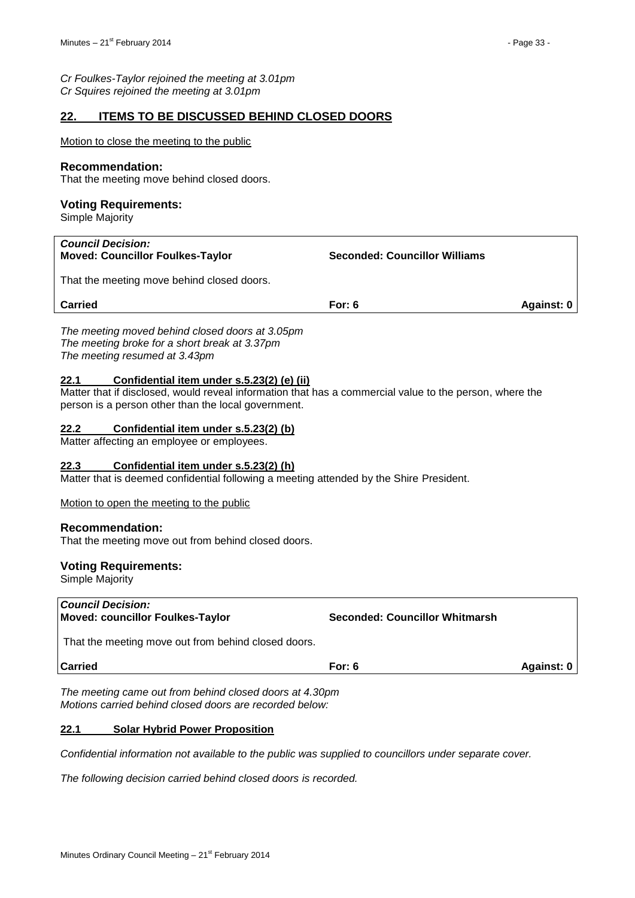*Cr Foulkes-Taylor rejoined the meeting at 3.01pm Cr Squires rejoined the meeting at 3.01pm*

# <span id="page-32-0"></span>**22. ITEMS TO BE DISCUSSED BEHIND CLOSED DOORS**

Motion to close the meeting to the public

#### **Recommendation:**

That the meeting move behind closed doors.

#### **Voting Requirements:**

Simple Majority

<span id="page-32-2"></span><span id="page-32-1"></span>

| <b>Council Decision:</b><br><b>Moved: Councillor Foulkes-Taylor</b>                                                                                                                                                  | <b>Seconded: Councillor Williams</b>  |                   |  |
|----------------------------------------------------------------------------------------------------------------------------------------------------------------------------------------------------------------------|---------------------------------------|-------------------|--|
| That the meeting move behind closed doors.                                                                                                                                                                           |                                       |                   |  |
| <b>Carried</b>                                                                                                                                                                                                       | For: $6$                              | <b>Against: 0</b> |  |
| The meeting moved behind closed doors at 3.05pm<br>The meeting broke for a short break at 3.37pm<br>The meeting resumed at 3.43pm                                                                                    |                                       |                   |  |
| Confidential item under s.5.23(2) (e) (ii)<br>22.1<br>Matter that if disclosed, would reveal information that has a commercial value to the person, where the<br>person is a person other than the local government. |                                       |                   |  |
| Confidential item under s.5.23(2) (b)<br>22.2<br>Matter affecting an employee or employees.                                                                                                                          |                                       |                   |  |
| Confidential item under s.5.23(2) (h)<br>22.3<br>Matter that is deemed confidential following a meeting attended by the Shire President.                                                                             |                                       |                   |  |
| Motion to open the meeting to the public                                                                                                                                                                             |                                       |                   |  |
| <b>Recommendation:</b><br>That the meeting move out from behind closed doors.                                                                                                                                        |                                       |                   |  |
| <b>Voting Requirements:</b><br>Simple Majority                                                                                                                                                                       |                                       |                   |  |
| <b>Council Decision:</b><br><b>Moved: councillor Foulkes-Taylor</b>                                                                                                                                                  | <b>Seconded: Councillor Whitmarsh</b> |                   |  |
| That the meeting move out from behind closed doors.                                                                                                                                                                  |                                       |                   |  |
| <b>Carried</b>                                                                                                                                                                                                       | For: $6$                              | Against: 0        |  |

<span id="page-32-3"></span>*The meeting came out from behind closed doors at 4.30pm Motions carried behind closed doors are recorded below:*

#### <span id="page-32-4"></span>**22.1 Solar Hybrid Power Proposition**

*Confidential information not available to the public was supplied to councillors under separate cover.*

*The following decision carried behind closed doors is recorded.*